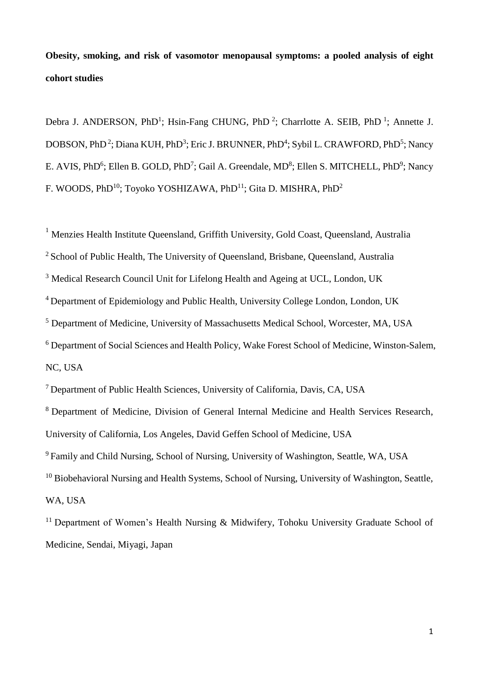**Obesity, smoking, and risk of vasomotor menopausal symptoms: a pooled analysis of eight cohort studies** 

Debra J. ANDERSON, PhD<sup>1</sup>; Hsin-Fang CHUNG, PhD<sup>2</sup>; Charrlotte A. SEIB, PhD<sup>1</sup>; Annette J. DOBSON, PhD<sup>2</sup>; Diana KUH, PhD<sup>3</sup>; Eric J. BRUNNER, PhD<sup>4</sup>; Sybil L. CRAWFORD, PhD<sup>5</sup>; Nancy E. AVIS, PhD<sup>6</sup>; Ellen B. GOLD, PhD<sup>7</sup>; Gail A. Greendale, MD<sup>8</sup>; Ellen S. MITCHELL, PhD<sup>9</sup>; Nancy F. WOODS, PhD<sup>10</sup>; Toyoko YOSHIZAWA, PhD<sup>11</sup>; Gita D. MISHRA, PhD<sup>2</sup>

<sup>1</sup> Menzies Health Institute Oueensland, Griffith University, Gold Coast, Queensland, Australia <sup>2</sup> School of Public Health, The University of Queensland, Brisbane, Queensland, Australia <sup>3</sup> Medical Research Council Unit for Lifelong Health and Ageing at UCL, London, UK <sup>4</sup>Department of Epidemiology and Public Health, University College London, London, UK <sup>5</sup> Department of Medicine, University of Massachusetts Medical School, Worcester, MA, USA <sup>6</sup> Department of Social Sciences and Health Policy, Wake Forest School of Medicine, Winston-Salem, NC, USA

<sup>7</sup>Department of Public Health Sciences, University of California, Davis, CA, USA

<sup>8</sup> Department of Medicine, Division of General Internal Medicine and Health Services Research, University of California, Los Angeles, David Geffen School of Medicine, USA <sup>9</sup> Family and Child Nursing, School of Nursing, University of Washington, Seattle, WA, USA

<sup>10</sup> Biobehavioral Nursing and Health Systems, School of Nursing, University of Washington, Seattle, WA, USA

<sup>11</sup> Department of Women's Health Nursing & Midwifery, Tohoku University Graduate School of Medicine, Sendai, Miyagi, Japan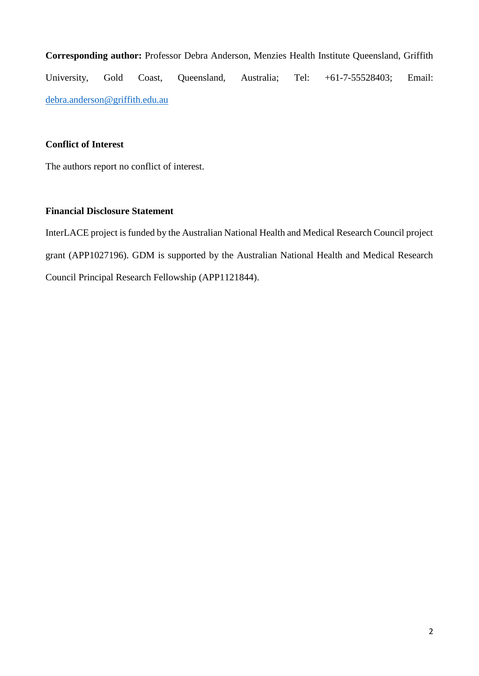**Corresponding author:** Professor Debra Anderson, Menzies Health Institute Queensland, Griffith University, Gold Coast, Queensland, Australia; Tel: +61-7-55528403; Email: [debra.anderson@griffith.edu.au](mailto:debra.anderson@griffith.edu.au)

# **Conflict of Interest**

The authors report no conflict of interest.

# **Financial Disclosure Statement**

InterLACE project is funded by the Australian National Health and Medical Research Council project grant (APP1027196). GDM is supported by the Australian National Health and Medical Research Council Principal Research Fellowship (APP1121844).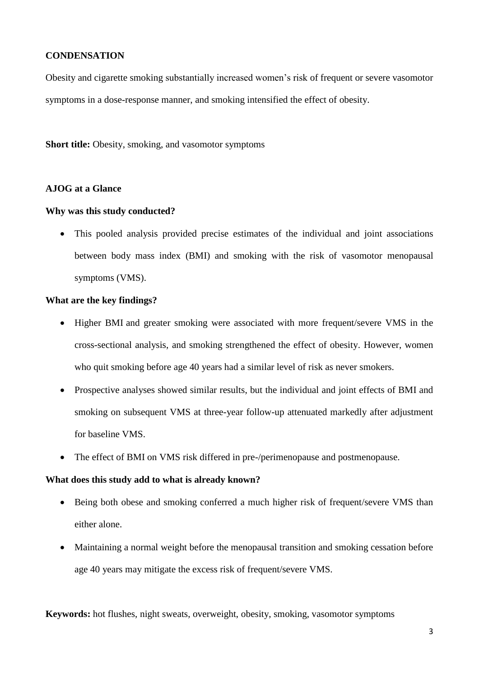# **CONDENSATION**

Obesity and cigarette smoking substantially increased women's risk of frequent or severe vasomotor symptoms in a dose-response manner, and smoking intensified the effect of obesity.

**Short title:** Obesity, smoking, and vasomotor symptoms

### **AJOG at a Glance**

### **Why was this study conducted?**

 This pooled analysis provided precise estimates of the individual and joint associations between body mass index (BMI) and smoking with the risk of vasomotor menopausal symptoms (VMS).

### **What are the key findings?**

- Higher BMI and greater smoking were associated with more frequent/severe VMS in the cross-sectional analysis, and smoking strengthened the effect of obesity. However, women who quit smoking before age 40 years had a similar level of risk as never smokers.
- Prospective analyses showed similar results, but the individual and joint effects of BMI and smoking on subsequent VMS at three-year follow-up attenuated markedly after adjustment for baseline VMS.
- The effect of BMI on VMS risk differed in pre-/perimenopause and postmenopause.

### **What does this study add to what is already known?**

- Being both obese and smoking conferred a much higher risk of frequent/severe VMS than either alone.
- Maintaining a normal weight before the menopausal transition and smoking cessation before age 40 years may mitigate the excess risk of frequent/severe VMS.

**Keywords:** hot flushes, night sweats, overweight, obesity, smoking, vasomotor symptoms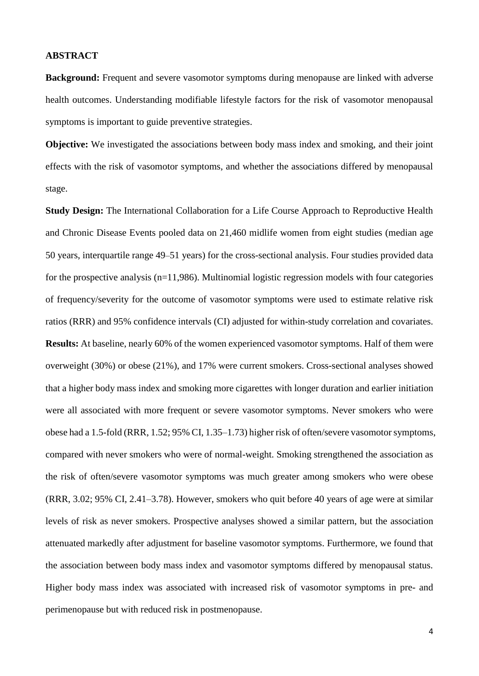#### **ABSTRACT**

**Background:** Frequent and severe vasomotor symptoms during menopause are linked with adverse health outcomes. Understanding modifiable lifestyle factors for the risk of vasomotor menopausal symptoms is important to guide preventive strategies.

**Objective:** We investigated the associations between body mass index and smoking, and their joint effects with the risk of vasomotor symptoms, and whether the associations differed by menopausal stage.

**Study Design:** The International Collaboration for a Life Course Approach to Reproductive Health and Chronic Disease Events pooled data on 21,460 midlife women from eight studies (median age 50 years, interquartile range 49–51 years) for the cross-sectional analysis. Four studies provided data for the prospective analysis  $(n=11,986)$ . Multinomial logistic regression models with four categories of frequency/severity for the outcome of vasomotor symptoms were used to estimate relative risk ratios (RRR) and 95% confidence intervals (CI) adjusted for within-study correlation and covariates. **Results:** At baseline, nearly 60% of the women experienced vasomotor symptoms. Half of them were overweight (30%) or obese (21%), and 17% were current smokers. Cross-sectional analyses showed that a higher body mass index and smoking more cigarettes with longer duration and earlier initiation were all associated with more frequent or severe vasomotor symptoms. Never smokers who were obese had a 1.5-fold (RRR, 1.52; 95% CI, 1.35–1.73) higher risk of often/severe vasomotor symptoms, compared with never smokers who were of normal-weight. Smoking strengthened the association as the risk of often/severe vasomotor symptoms was much greater among smokers who were obese (RRR, 3.02; 95% CI, 2.41–3.78). However, smokers who quit before 40 years of age were at similar levels of risk as never smokers. Prospective analyses showed a similar pattern, but the association attenuated markedly after adjustment for baseline vasomotor symptoms. Furthermore, we found that the association between body mass index and vasomotor symptoms differed by menopausal status. Higher body mass index was associated with increased risk of vasomotor symptoms in pre- and perimenopause but with reduced risk in postmenopause.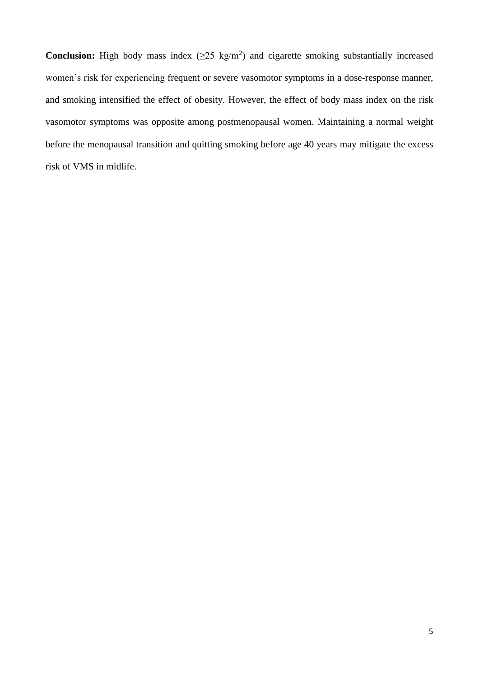**Conclusion:** High body mass index  $(\geq 25 \text{ kg/m}^2)$  and cigarette smoking substantially increased women's risk for experiencing frequent or severe vasomotor symptoms in a dose-response manner, and smoking intensified the effect of obesity. However, the effect of body mass index on the risk vasomotor symptoms was opposite among postmenopausal women. Maintaining a normal weight before the menopausal transition and quitting smoking before age 40 years may mitigate the excess risk of VMS in midlife.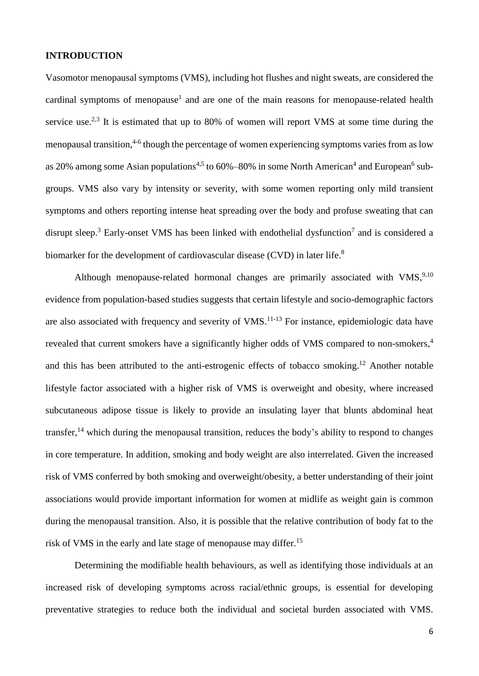#### **INTRODUCTION**

Vasomotor menopausal symptoms (VMS), including hot flushes and night sweats, are considered the cardinal symptoms of menopause<sup>1</sup> and are one of the main reasons for menopause-related health service use.<sup>2,3</sup> It is estimated that up to 80% of women will report VMS at some time during the menopausal transition,<sup>4-6</sup> though the percentage of women experiencing symptoms varies from as low as 20% among some Asian populations<sup>4,5</sup> to 60%–80% in some North American<sup>4</sup> and European<sup>6</sup> subgroups. VMS also vary by intensity or severity, with some women reporting only mild transient symptoms and others reporting intense heat spreading over the body and profuse sweating that can disrupt sleep.<sup>3</sup> Early-onset VMS has been linked with endothelial dysfunction<sup>7</sup> and is considered a biomarker for the development of cardiovascular disease (CVD) in later life.<sup>8</sup>

Although menopause-related hormonal changes are primarily associated with VMS,<sup>9,10</sup> evidence from population-based studies suggests that certain lifestyle and socio-demographic factors are also associated with frequency and severity of VMS.<sup>11-13</sup> For instance, epidemiologic data have revealed that current smokers have a significantly higher odds of VMS compared to non-smokers,<sup>4</sup> and this has been attributed to the anti-estrogenic effects of tobacco smoking.<sup>12</sup> Another notable lifestyle factor associated with a higher risk of VMS is overweight and obesity, where increased subcutaneous adipose tissue is likely to provide an insulating layer that blunts abdominal heat transfer,<sup>14</sup> which during the menopausal transition, reduces the body's ability to respond to changes in core temperature. In addition, smoking and body weight are also interrelated. Given the increased risk of VMS conferred by both smoking and overweight/obesity, a better understanding of their joint associations would provide important information for women at midlife as weight gain is common during the menopausal transition. Also, it is possible that the relative contribution of body fat to the risk of VMS in the early and late stage of menopause may differ. 15

Determining the modifiable health behaviours, as well as identifying those individuals at an increased risk of developing symptoms across racial/ethnic groups, is essential for developing preventative strategies to reduce both the individual and societal burden associated with VMS.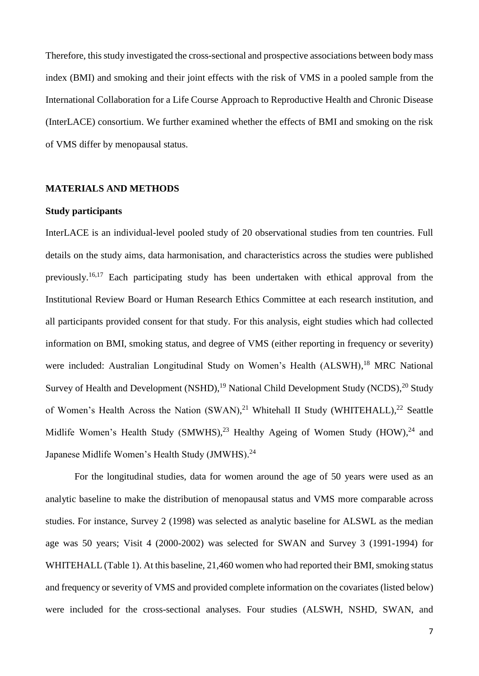Therefore, this study investigated the cross-sectional and prospective associations between body mass index (BMI) and smoking and their joint effects with the risk of VMS in a pooled sample from the International Collaboration for a Life Course Approach to Reproductive Health and Chronic Disease (InterLACE) consortium. We further examined whether the effects of BMI and smoking on the risk of VMS differ by menopausal status.

### **MATERIALS AND METHODS**

### **Study participants**

InterLACE is an individual-level pooled study of 20 observational studies from ten countries. Full details on the study aims, data harmonisation, and characteristics across the studies were published previously.<sup>16,17</sup> Each participating study has been undertaken with ethical approval from the Institutional Review Board or Human Research Ethics Committee at each research institution, and all participants provided consent for that study. For this analysis, eight studies which had collected information on BMI, smoking status, and degree of VMS (either reporting in frequency or severity) were included: Australian Longitudinal Study on Women's Health (ALSWH),<sup>18</sup> MRC National Survey of Health and Development (NSHD),<sup>19</sup> National Child Development Study (NCDS),<sup>20</sup> Study of Women's Health Across the Nation  $(SWAN)^{21}$  Whitehall II Study (WHITEHALL),<sup>22</sup> Seattle Midlife Women's Health Study (SMWHS),<sup>23</sup> Healthy Ageing of Women Study (HOW),<sup>24</sup> and Japanese Midlife Women's Health Study (JMWHS).<sup>24</sup>

For the longitudinal studies, data for women around the age of 50 years were used as an analytic baseline to make the distribution of menopausal status and VMS more comparable across studies. For instance, Survey 2 (1998) was selected as analytic baseline for ALSWL as the median age was 50 years; Visit 4 (2000-2002) was selected for SWAN and Survey 3 (1991-1994) for WHITEHALL (Table 1). At this baseline, 21,460 women who had reported their BMI, smoking status and frequency or severity of VMS and provided complete information on the covariates (listed below) were included for the cross-sectional analyses. Four studies (ALSWH, NSHD, SWAN, and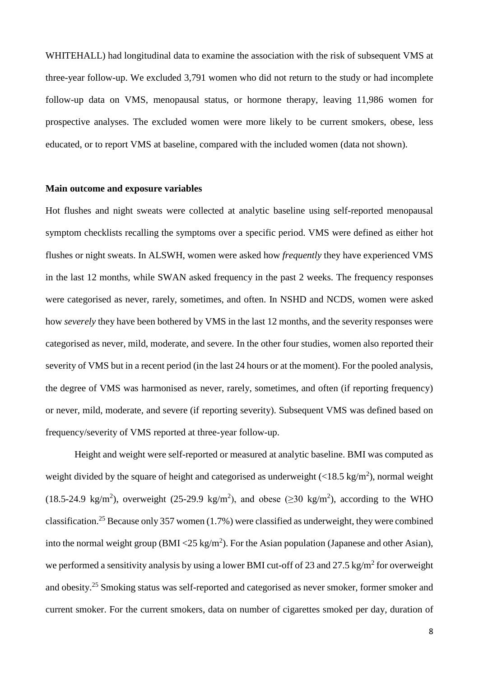WHITEHALL) had longitudinal data to examine the association with the risk of subsequent VMS at three-year follow-up. We excluded 3,791 women who did not return to the study or had incomplete follow-up data on VMS, menopausal status, or hormone therapy, leaving 11,986 women for prospective analyses. The excluded women were more likely to be current smokers, obese, less educated, or to report VMS at baseline, compared with the included women (data not shown).

#### **Main outcome and exposure variables**

Hot flushes and night sweats were collected at analytic baseline using self-reported menopausal symptom checklists recalling the symptoms over a specific period. VMS were defined as either hot flushes or night sweats. In ALSWH, women were asked how *frequently* they have experienced VMS in the last 12 months, while SWAN asked frequency in the past 2 weeks. The frequency responses were categorised as never, rarely, sometimes, and often. In NSHD and NCDS, women were asked how *severely* they have been bothered by VMS in the last 12 months, and the severity responses were categorised as never, mild, moderate, and severe. In the other four studies, women also reported their severity of VMS but in a recent period (in the last 24 hours or at the moment). For the pooled analysis, the degree of VMS was harmonised as never, rarely, sometimes, and often (if reporting frequency) or never, mild, moderate, and severe (if reporting severity). Subsequent VMS was defined based on frequency/severity of VMS reported at three-year follow-up.

Height and weight were self-reported or measured at analytic baseline. BMI was computed as weight divided by the square of height and categorised as underweight  $\left($  <18.5 kg/m<sup>2</sup> $\right)$ , normal weight (18.5-24.9 kg/m<sup>2</sup>), overweight (25-29.9 kg/m<sup>2</sup>), and obese ( $\geq$ 30 kg/m<sup>2</sup>), according to the WHO classification.<sup>25</sup> Because only 357 women (1.7%) were classified as underweight, they were combined into the normal weight group (BMI <25 kg/m<sup>2</sup>). For the Asian population (Japanese and other Asian), we performed a sensitivity analysis by using a lower BMI cut-off of 23 and 27.5 kg/m<sup>2</sup> for overweight and obesity.<sup>25</sup> Smoking status was self-reported and categorised as never smoker, former smoker and current smoker. For the current smokers, data on number of cigarettes smoked per day, duration of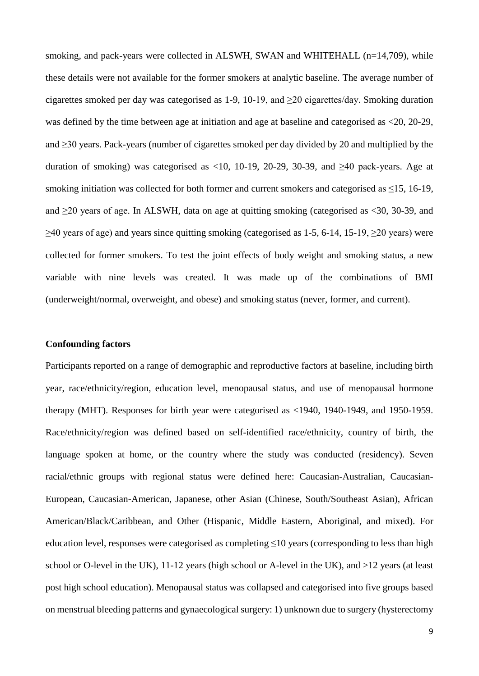smoking, and pack-years were collected in ALSWH, SWAN and WHITEHALL (n=14,709), while these details were not available for the former smokers at analytic baseline. The average number of cigarettes smoked per day was categorised as 1-9, 10-19, and  $\geq$ 20 cigarettes/day. Smoking duration was defined by the time between age at initiation and age at baseline and categorised as <20, 20-29, and ≥30 years. Pack-years (number of cigarettes smoked per day divided by 20 and multiplied by the duration of smoking) was categorised as <10, 10-19, 20-29, 30-39, and  $\geq 40$  pack-years. Age at smoking initiation was collected for both former and current smokers and categorised as  $\leq$ 15, 16-19, and  $\geq$ 20 years of age. In ALSWH, data on age at quitting smoking (categorised as <30, 30-39, and  $\geq$ 40 years of age) and years since quitting smoking (categorised as 1-5, 6-14, 15-19,  $\geq$ 20 years) were collected for former smokers. To test the joint effects of body weight and smoking status, a new variable with nine levels was created. It was made up of the combinations of BMI (underweight/normal, overweight, and obese) and smoking status (never, former, and current).

#### **Confounding factors**

Participants reported on a range of demographic and reproductive factors at baseline, including birth year, race/ethnicity/region, education level, menopausal status, and use of menopausal hormone therapy (MHT). Responses for birth year were categorised as <1940, 1940-1949, and 1950-1959. Race/ethnicity/region was defined based on self-identified race/ethnicity, country of birth, the language spoken at home, or the country where the study was conducted (residency). Seven racial/ethnic groups with regional status were defined here: Caucasian-Australian, Caucasian-European, Caucasian-American, Japanese, other Asian (Chinese, South/Southeast Asian), African American/Black/Caribbean, and Other (Hispanic, Middle Eastern, Aboriginal, and mixed). For education level, responses were categorised as completing ≤10 years (corresponding to less than high school or O-level in the UK), 11-12 years (high school or A-level in the UK), and >12 years (at least post high school education). Menopausal status was collapsed and categorised into five groups based on menstrual bleeding patterns and gynaecological surgery: 1) unknown due to surgery (hysterectomy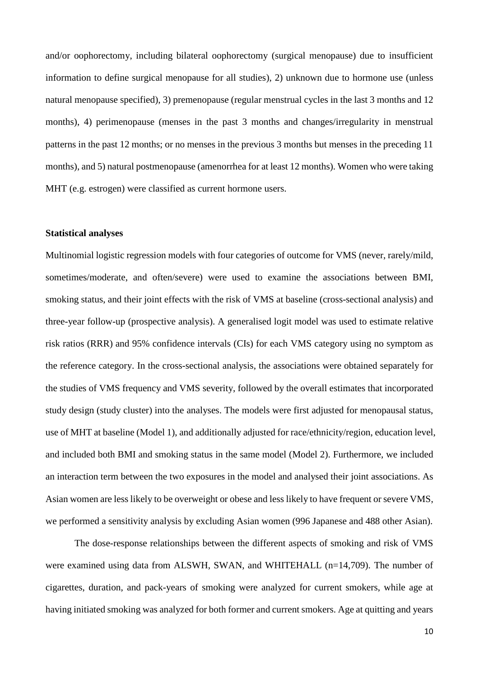and/or oophorectomy, including bilateral oophorectomy (surgical menopause) due to insufficient information to define surgical menopause for all studies), 2) unknown due to hormone use (unless natural menopause specified), 3) premenopause (regular menstrual cycles in the last 3 months and 12 months), 4) perimenopause (menses in the past 3 months and changes/irregularity in menstrual patterns in the past 12 months; or no menses in the previous 3 months but menses in the preceding 11 months), and 5) natural postmenopause (amenorrhea for at least 12 months). Women who were taking MHT (e.g. estrogen) were classified as current hormone users.

### **Statistical analyses**

Multinomial logistic regression models with four categories of outcome for VMS (never, rarely/mild, sometimes/moderate, and often/severe) were used to examine the associations between BMI, smoking status, and their joint effects with the risk of VMS at baseline (cross-sectional analysis) and three-year follow-up (prospective analysis). A generalised logit model was used to estimate relative risk ratios (RRR) and 95% confidence intervals (CIs) for each VMS category using no symptom as the reference category. In the cross-sectional analysis, the associations were obtained separately for the studies of VMS frequency and VMS severity, followed by the overall estimates that incorporated study design (study cluster) into the analyses. The models were first adjusted for menopausal status, use of MHT at baseline (Model 1), and additionally adjusted for race/ethnicity/region, education level, and included both BMI and smoking status in the same model (Model 2). Furthermore, we included an interaction term between the two exposures in the model and analysed their joint associations. As Asian women are less likely to be overweight or obese and less likely to have frequent or severe VMS, we performed a sensitivity analysis by excluding Asian women (996 Japanese and 488 other Asian).

The dose-response relationships between the different aspects of smoking and risk of VMS were examined using data from ALSWH, SWAN, and WHITEHALL (n=14,709). The number of cigarettes, duration, and pack-years of smoking were analyzed for current smokers, while age at having initiated smoking was analyzed for both former and current smokers. Age at quitting and years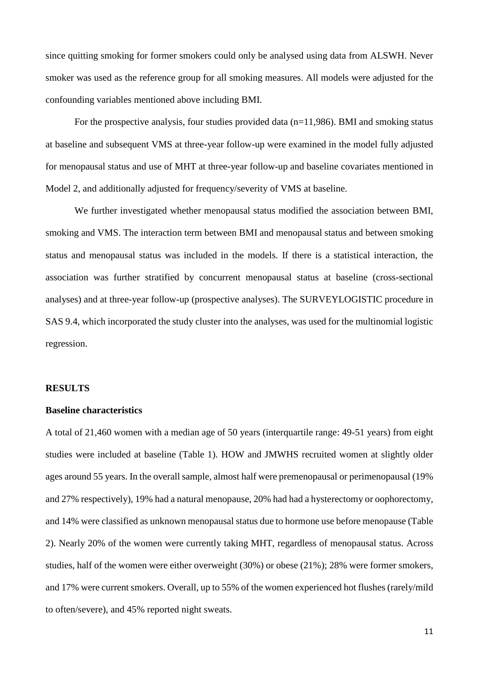since quitting smoking for former smokers could only be analysed using data from ALSWH. Never smoker was used as the reference group for all smoking measures. All models were adjusted for the confounding variables mentioned above including BMI.

For the prospective analysis, four studies provided data (n=11,986). BMI and smoking status at baseline and subsequent VMS at three-year follow-up were examined in the model fully adjusted for menopausal status and use of MHT at three-year follow-up and baseline covariates mentioned in Model 2, and additionally adjusted for frequency/severity of VMS at baseline.

We further investigated whether menopausal status modified the association between BMI, smoking and VMS. The interaction term between BMI and menopausal status and between smoking status and menopausal status was included in the models. If there is a statistical interaction, the association was further stratified by concurrent menopausal status at baseline (cross-sectional analyses) and at three-year follow-up (prospective analyses). The SURVEYLOGISTIC procedure in SAS 9.4, which incorporated the study cluster into the analyses, was used for the multinomial logistic regression.

#### **RESULTS**

### **Baseline characteristics**

A total of 21,460 women with a median age of 50 years (interquartile range: 49-51 years) from eight studies were included at baseline (Table 1). HOW and JMWHS recruited women at slightly older ages around 55 years. In the overall sample, almost half were premenopausal or perimenopausal (19% and 27% respectively), 19% had a natural menopause, 20% had had a hysterectomy or oophorectomy, and 14% were classified as unknown menopausal status due to hormone use before menopause (Table 2). Nearly 20% of the women were currently taking MHT, regardless of menopausal status. Across studies, half of the women were either overweight (30%) or obese (21%); 28% were former smokers, and 17% were current smokers. Overall, up to 55% of the women experienced hot flushes (rarely/mild to often/severe), and 45% reported night sweats.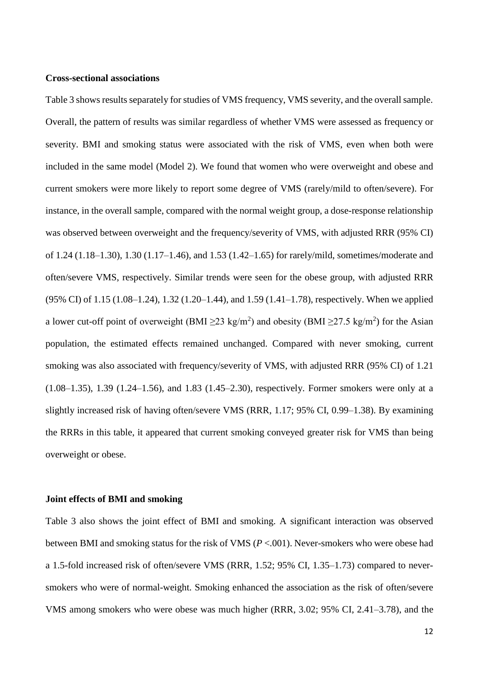### **Cross-sectional associations**

Table 3 shows results separately for studies of VMS frequency, VMS severity, and the overall sample. Overall, the pattern of results was similar regardless of whether VMS were assessed as frequency or severity. BMI and smoking status were associated with the risk of VMS, even when both were included in the same model (Model 2). We found that women who were overweight and obese and current smokers were more likely to report some degree of VMS (rarely/mild to often/severe). For instance, in the overall sample, compared with the normal weight group, a dose-response relationship was observed between overweight and the frequency/severity of VMS, with adjusted RRR (95% CI) of 1.24 (1.18–1.30), 1.30 (1.17–1.46), and 1.53 (1.42–1.65) for rarely/mild, sometimes/moderate and often/severe VMS, respectively. Similar trends were seen for the obese group, with adjusted RRR (95% CI) of 1.15 (1.08–1.24), 1.32 (1.20–1.44), and 1.59 (1.41–1.78), respectively. When we applied a lower cut-off point of overweight (BMI  $\geq$ 23 kg/m<sup>2</sup>) and obesity (BMI  $\geq$ 27.5 kg/m<sup>2</sup>) for the Asian population, the estimated effects remained unchanged. Compared with never smoking, current smoking was also associated with frequency/severity of VMS, with adjusted RRR (95% CI) of 1.21 (1.08–1.35), 1.39 (1.24–1.56), and 1.83 (1.45–2.30), respectively. Former smokers were only at a slightly increased risk of having often/severe VMS (RRR, 1.17; 95% CI, 0.99–1.38). By examining the RRRs in this table, it appeared that current smoking conveyed greater risk for VMS than being overweight or obese.

#### **Joint effects of BMI and smoking**

Table 3 also shows the joint effect of BMI and smoking. A significant interaction was observed between BMI and smoking status for the risk of VMS (*P* <.001). Never-smokers who were obese had a 1.5-fold increased risk of often/severe VMS (RRR, 1.52; 95% CI, 1.35–1.73) compared to neversmokers who were of normal-weight. Smoking enhanced the association as the risk of often/severe VMS among smokers who were obese was much higher (RRR, 3.02; 95% CI, 2.41–3.78), and the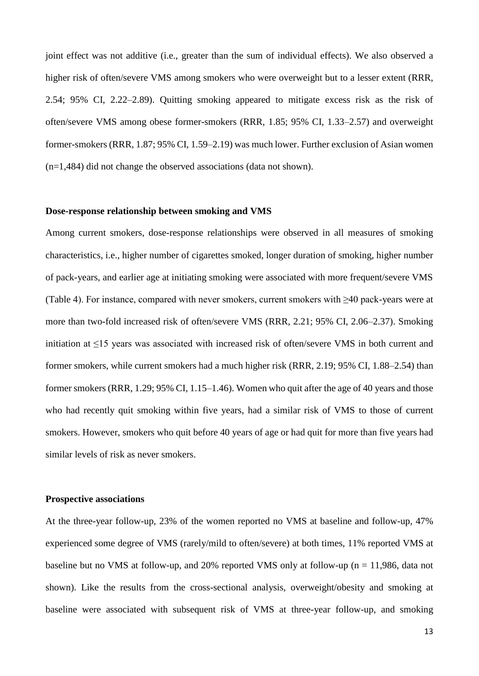joint effect was not additive (i.e., greater than the sum of individual effects). We also observed a higher risk of often/severe VMS among smokers who were overweight but to a lesser extent (RRR, 2.54; 95% CI, 2.22–2.89). Quitting smoking appeared to mitigate excess risk as the risk of often/severe VMS among obese former-smokers (RRR, 1.85; 95% CI, 1.33–2.57) and overweight former-smokers (RRR, 1.87; 95% CI, 1.59–2.19) was much lower. Further exclusion of Asian women (n=1,484) did not change the observed associations (data not shown).

### **Dose-response relationship between smoking and VMS**

Among current smokers, dose-response relationships were observed in all measures of smoking characteristics, i.e., higher number of cigarettes smoked, longer duration of smoking, higher number of pack-years, and earlier age at initiating smoking were associated with more frequent/severe VMS (Table 4). For instance, compared with never smokers, current smokers with ≥40 pack-years were at more than two-fold increased risk of often/severe VMS (RRR, 2.21; 95% CI, 2.06–2.37). Smoking initiation at ≤15 years was associated with increased risk of often/severe VMS in both current and former smokers, while current smokers had a much higher risk (RRR, 2.19; 95% CI, 1.88–2.54) than former smokers (RRR, 1.29; 95% CI, 1.15–1.46). Women who quit after the age of 40 years and those who had recently quit smoking within five years, had a similar risk of VMS to those of current smokers. However, smokers who quit before 40 years of age or had quit for more than five years had similar levels of risk as never smokers.

### **Prospective associations**

At the three-year follow-up, 23% of the women reported no VMS at baseline and follow-up, 47% experienced some degree of VMS (rarely/mild to often/severe) at both times, 11% reported VMS at baseline but no VMS at follow-up, and 20% reported VMS only at follow-up ( $n = 11,986$ , data not shown). Like the results from the cross-sectional analysis, overweight/obesity and smoking at baseline were associated with subsequent risk of VMS at three-year follow-up, and smoking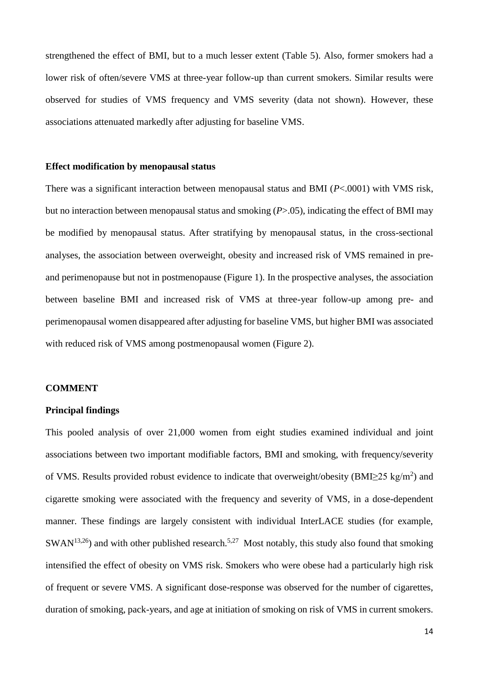strengthened the effect of BMI, but to a much lesser extent (Table 5). Also, former smokers had a lower risk of often/severe VMS at three-year follow-up than current smokers. Similar results were observed for studies of VMS frequency and VMS severity (data not shown). However, these associations attenuated markedly after adjusting for baseline VMS.

#### **Effect modification by menopausal status**

There was a significant interaction between menopausal status and BMI (*P*<.0001) with VMS risk, but no interaction between menopausal status and smoking (*P*>.05), indicating the effect of BMI may be modified by menopausal status. After stratifying by menopausal status, in the cross-sectional analyses, the association between overweight, obesity and increased risk of VMS remained in preand perimenopause but not in postmenopause (Figure 1). In the prospective analyses, the association between baseline BMI and increased risk of VMS at three-year follow-up among pre- and perimenopausal women disappeared after adjusting for baseline VMS, but higher BMI was associated with reduced risk of VMS among postmenopausal women (Figure 2).

#### **COMMENT**

### **Principal findings**

This pooled analysis of over 21,000 women from eight studies examined individual and joint associations between two important modifiable factors, BMI and smoking, with frequency/severity of VMS. Results provided robust evidence to indicate that overweight/obesity (BMI $\geq$ 25 kg/m<sup>2</sup>) and cigarette smoking were associated with the frequency and severity of VMS, in a dose-dependent manner. These findings are largely consistent with individual InterLACE studies (for example,  $SWAN<sup>13,26</sup>$ ) and with other published research.<sup>5,27</sup> Most notably, this study also found that smoking intensified the effect of obesity on VMS risk. Smokers who were obese had a particularly high risk of frequent or severe VMS. A significant dose-response was observed for the number of cigarettes, duration of smoking, pack-years, and age at initiation of smoking on risk of VMS in current smokers.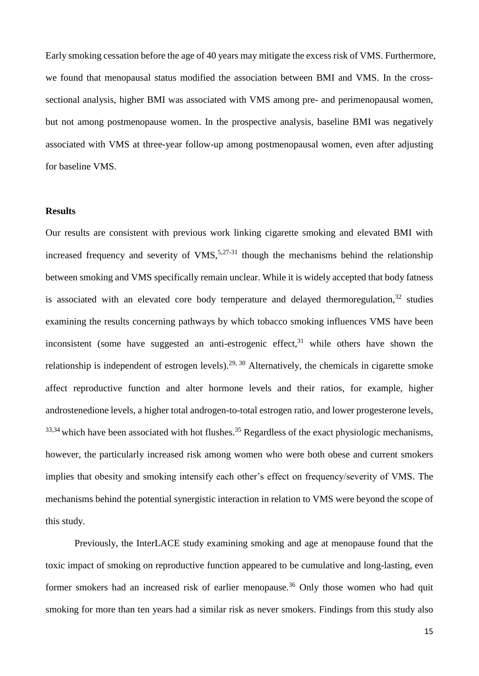Early smoking cessation before the age of 40 years may mitigate the excess risk of VMS. Furthermore, we found that menopausal status modified the association between BMI and VMS. In the crosssectional analysis, higher BMI was associated with VMS among pre- and perimenopausal women, but not among postmenopause women. In the prospective analysis, baseline BMI was negatively associated with VMS at three-year follow-up among postmenopausal women, even after adjusting for baseline VMS.

### **Results**

Our results are consistent with previous work linking cigarette smoking and elevated BMI with increased frequency and severity of  $VMS$ ,<sup>5,27-31</sup> though the mechanisms behind the relationship between smoking and VMS specifically remain unclear. While it is widely accepted that body fatness is associated with an elevated core body temperature and delayed thermoregulation, $32$  studies examining the results concerning pathways by which tobacco smoking influences VMS have been inconsistent (some have suggested an anti-estrogenic effect,  $31$  while others have shown the relationship is independent of estrogen levels).29, 30 Alternatively, the chemicals in cigarette smoke affect reproductive function and alter hormone levels and their ratios, for example, higher androstenedione levels, a higher total androgen-to-total estrogen ratio, and lower progesterone levels,  $33,34$  which have been associated with hot flushes.<sup>35</sup> Regardless of the exact physiologic mechanisms, however, the particularly increased risk among women who were both obese and current smokers implies that obesity and smoking intensify each other's effect on frequency/severity of VMS. The mechanisms behind the potential synergistic interaction in relation to VMS were beyond the scope of this study.

Previously, the InterLACE study examining smoking and age at menopause found that the toxic impact of smoking on reproductive function appeared to be cumulative and long-lasting, even former smokers had an increased risk of earlier menopause.<sup>36</sup> Only those women who had quit smoking for more than ten years had a similar risk as never smokers. Findings from this study also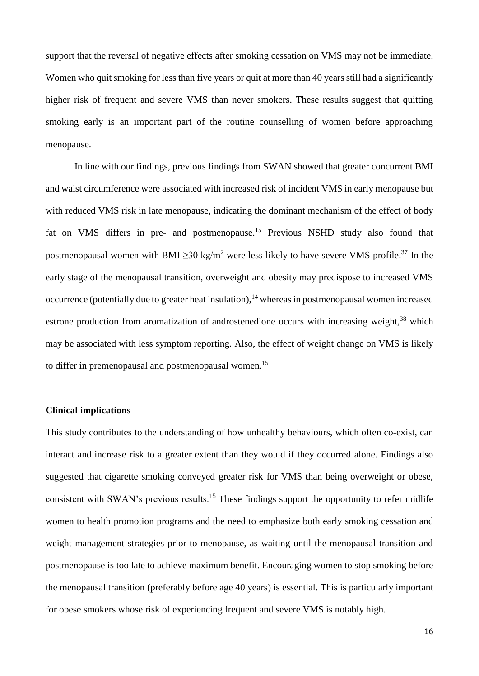support that the reversal of negative effects after smoking cessation on VMS may not be immediate. Women who quit smoking for less than five years or quit at more than 40 years still had a significantly higher risk of frequent and severe VMS than never smokers. These results suggest that quitting smoking early is an important part of the routine counselling of women before approaching menopause.

In line with our findings, previous findings from SWAN showed that greater concurrent BMI and waist circumference were associated with increased risk of incident VMS in early menopause but with reduced VMS risk in late menopause, indicating the dominant mechanism of the effect of body fat on VMS differs in pre- and postmenopause.<sup>15</sup> Previous NSHD study also found that postmenopausal women with BMI  $\geq$ 30 kg/m<sup>2</sup> were less likely to have severe VMS profile.<sup>37</sup> In the early stage of the menopausal transition, overweight and obesity may predispose to increased VMS occurrence (potentially due to greater heat insulation), <sup>14</sup> whereas in postmenopausal women increased estrone production from aromatization of androstenedione occurs with increasing weight,<sup>38</sup> which may be associated with less symptom reporting. Also, the effect of weight change on VMS is likely to differ in premenopausal and postmenopausal women.<sup>15</sup>

# **Clinical implications**

This study contributes to the understanding of how unhealthy behaviours, which often co-exist, can interact and increase risk to a greater extent than they would if they occurred alone. Findings also suggested that cigarette smoking conveyed greater risk for VMS than being overweight or obese, consistent with SWAN's previous results.<sup>15</sup> These findings support the opportunity to refer midlife women to health promotion programs and the need to emphasize both early smoking cessation and weight management strategies prior to menopause, as waiting until the menopausal transition and postmenopause is too late to achieve maximum benefit. Encouraging women to stop smoking before the menopausal transition (preferably before age 40 years) is essential. This is particularly important for obese smokers whose risk of experiencing frequent and severe VMS is notably high.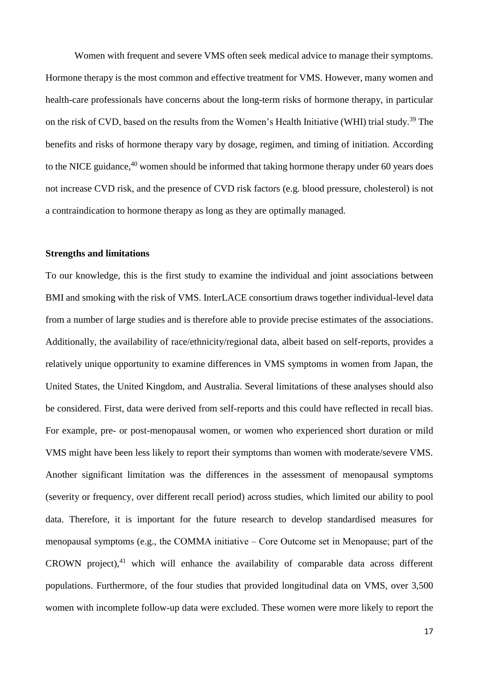Women with frequent and severe VMS often seek medical advice to manage their symptoms. Hormone therapy is the most common and effective treatment for VMS. However, many women and health-care professionals have concerns about the long-term risks of hormone therapy, in particular on the risk of CVD, based on the results from the Women's Health Initiative (WHI) trial study.<sup>39</sup> The benefits and risks of hormone therapy vary by dosage, regimen, and timing of initiation. According to the NICE guidance,<sup>40</sup> women should be informed that taking hormone therapy under 60 years does not increase CVD risk, and the presence of CVD risk factors (e.g. blood pressure, cholesterol) is not a contraindication to hormone therapy as long as they are optimally managed.

#### **Strengths and limitations**

To our knowledge, this is the first study to examine the individual and joint associations between BMI and smoking with the risk of VMS. InterLACE consortium draws together individual-level data from a number of large studies and is therefore able to provide precise estimates of the associations. Additionally, the availability of race/ethnicity/regional data, albeit based on self-reports, provides a relatively unique opportunity to examine differences in VMS symptoms in women from Japan, the United States, the United Kingdom, and Australia. Several limitations of these analyses should also be considered. First, data were derived from self-reports and this could have reflected in recall bias. For example, pre- or post-menopausal women, or women who experienced short duration or mild VMS might have been less likely to report their symptoms than women with moderate/severe VMS. Another significant limitation was the differences in the assessment of menopausal symptoms (severity or frequency, over different recall period) across studies, which limited our ability to pool data. Therefore, it is important for the future research to develop standardised measures for menopausal symptoms (e.g., the COMMA initiative  $-$  Core Outcome set in Menopause; part of the CROWN project), $41$  which will enhance the availability of comparable data across different populations. Furthermore, of the four studies that provided longitudinal data on VMS, over 3,500 women with incomplete follow-up data were excluded. These women were more likely to report the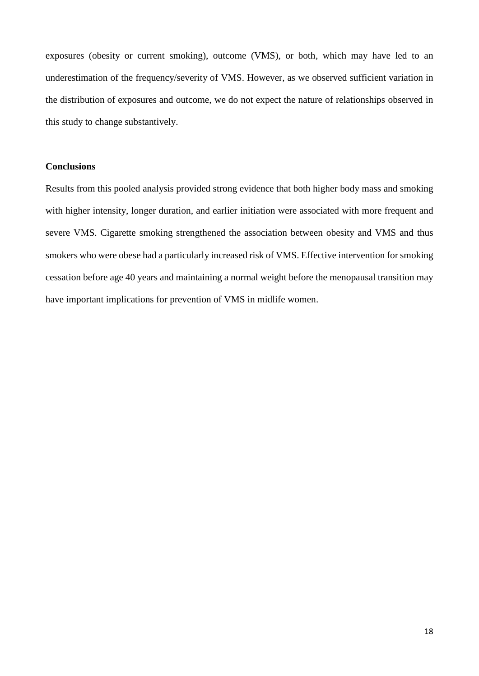exposures (obesity or current smoking), outcome (VMS), or both, which may have led to an underestimation of the frequency/severity of VMS. However, as we observed sufficient variation in the distribution of exposures and outcome, we do not expect the nature of relationships observed in this study to change substantively.

### **Conclusions**

Results from this pooled analysis provided strong evidence that both higher body mass and smoking with higher intensity, longer duration, and earlier initiation were associated with more frequent and severe VMS. Cigarette smoking strengthened the association between obesity and VMS and thus smokers who were obese had a particularly increased risk of VMS. Effective intervention for smoking cessation before age 40 years and maintaining a normal weight before the menopausal transition may have important implications for prevention of VMS in midlife women.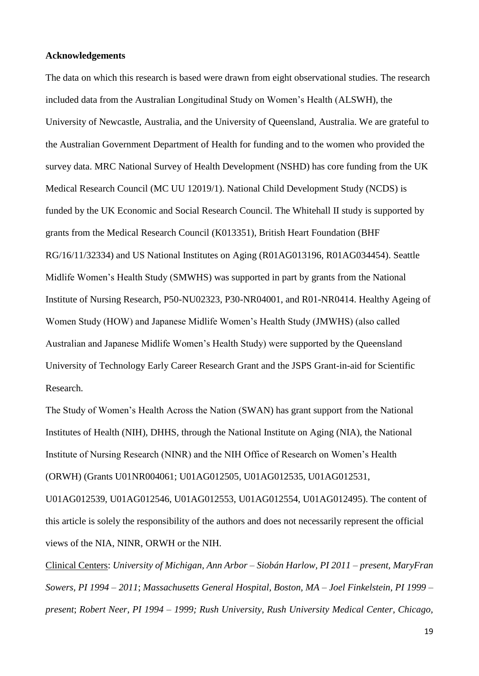#### **Acknowledgements**

The data on which this research is based were drawn from eight observational studies. The research included data from the Australian Longitudinal Study on Women's Health (ALSWH), the University of Newcastle, Australia, and the University of Queensland, Australia. We are grateful to the Australian Government Department of Health for funding and to the women who provided the survey data. MRC National Survey of Health Development (NSHD) has core funding from the UK Medical Research Council (MC UU 12019/1). National Child Development Study (NCDS) is funded by the UK Economic and Social Research Council. The Whitehall II study is supported by grants from the Medical Research Council (K013351), British Heart Foundation (BHF RG/16/11/32334) and US National Institutes on Aging (R01AG013196, R01AG034454). Seattle Midlife Women's Health Study (SMWHS) was supported in part by grants from the National Institute of Nursing Research, P50-NU02323, P30-NR04001, and R01-NR0414. Healthy Ageing of Women Study (HOW) and Japanese Midlife Women's Health Study (JMWHS) (also called Australian and Japanese Midlife Women's Health Study) were supported by the Queensland University of Technology Early Career Research Grant and the JSPS Grant-in-aid for Scientific Research.

The Study of Women's Health Across the Nation (SWAN) has grant support from the National Institutes of Health (NIH), DHHS, through the National Institute on Aging (NIA), the National Institute of Nursing Research (NINR) and the NIH Office of Research on Women's Health (ORWH) (Grants U01NR004061; U01AG012505, U01AG012535, U01AG012531, U01AG012539, U01AG012546, U01AG012553, U01AG012554, U01AG012495). The content of this article is solely the responsibility of the authors and does not necessarily represent the official views of the NIA, NINR, ORWH or the NIH.

Clinical Centers: *University of Michigan, Ann Arbor – Siobán Harlow, PI 2011 – present, MaryFran Sowers, PI 1994 – 2011*; *Massachusetts General Hospital, Boston, MA – Joel Finkelstein, PI 1999 – present*; *Robert Neer, PI 1994 – 1999; Rush University, Rush University Medical Center, Chicago,* 

19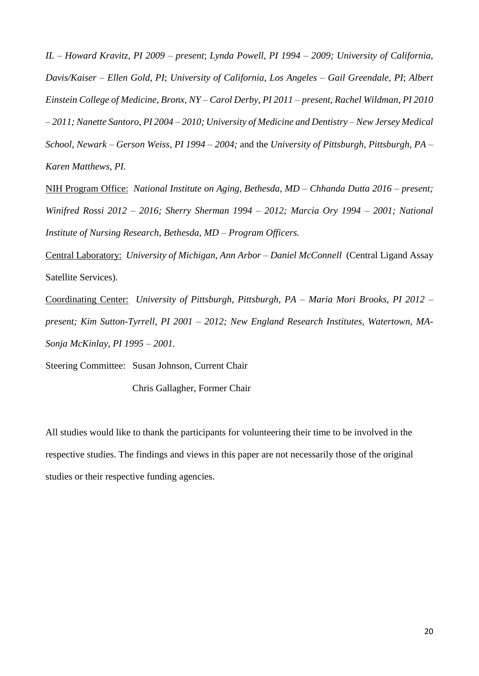*IL – Howard Kravitz, PI 2009 – present*; *Lynda Powell, PI 1994 – 2009; University of California, Davis/Kaiser – Ellen Gold, PI*; *University of California, Los Angeles – Gail Greendale, PI*; *Albert Einstein College of Medicine, Bronx, NY – Carol Derby, PI 2011 – present, Rachel Wildman, PI 2010 – 2011; Nanette Santoro, PI 2004 – 2010; University of Medicine and Dentistry – New Jersey Medical School, Newark – Gerson Weiss, PI 1994 – 2004;* and the *University of Pittsburgh, Pittsburgh, PA – Karen Matthews, PI.*

NIH Program Office: *National Institute on Aging, Bethesda, MD – Chhanda Dutta 2016 – present; Winifred Rossi 2012 – 2016; Sherry Sherman 1994 – 2012; Marcia Ory 1994 – 2001; National Institute of Nursing Research, Bethesda, MD – Program Officers.*

Central Laboratory: *University of Michigan, Ann Arbor – Daniel McConnell* (Central Ligand Assay Satellite Services).

Coordinating Center: *University of Pittsburgh, Pittsburgh, PA – Maria Mori Brooks, PI 2012 – present; Kim Sutton-Tyrrell, PI 2001 – 2012; New England Research Institutes, Watertown, MA-Sonja McKinlay, PI 1995 – 2001.*

Steering Committee: Susan Johnson, Current Chair

Chris Gallagher, Former Chair

All studies would like to thank the participants for volunteering their time to be involved in the respective studies. The findings and views in this paper are not necessarily those of the original studies or their respective funding agencies.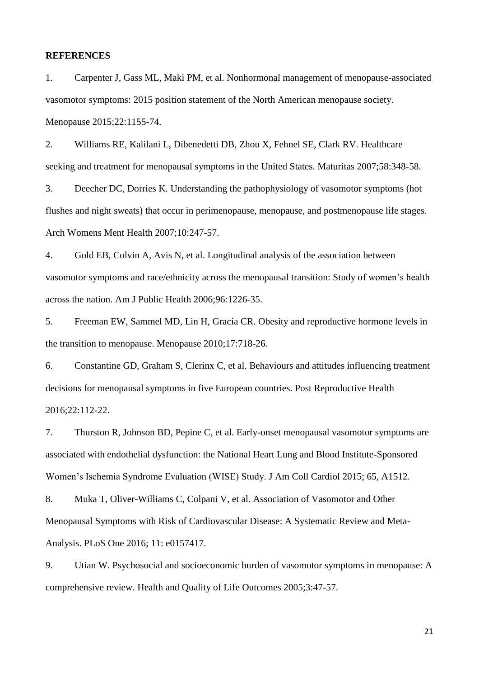#### **REFERENCES**

1. Carpenter J, Gass ML, Maki PM, et al. Nonhormonal management of menopause-associated vasomotor symptoms: 2015 position statement of the North American menopause society. Menopause 2015;22:1155-74.

2. Williams RE, Kalilani L, Dibenedetti DB, Zhou X, Fehnel SE, Clark RV. Healthcare seeking and treatment for menopausal symptoms in the United States. Maturitas 2007;58:348-58.

3. Deecher DC, Dorries K. Understanding the pathophysiology of vasomotor symptoms (hot flushes and night sweats) that occur in perimenopause, menopause, and postmenopause life stages. Arch Womens Ment Health 2007;10:247-57.

4. Gold EB, Colvin A, Avis N, et al. Longitudinal analysis of the association between vasomotor symptoms and race/ethnicity across the menopausal transition: Study of women's health across the nation. Am J Public Health 2006;96:1226-35.

5. Freeman EW, Sammel MD, Lin H, Gracia CR. Obesity and reproductive hormone levels in the transition to menopause. Menopause 2010;17:718-26.

6. Constantine GD, Graham S, Clerinx C, et al. Behaviours and attitudes influencing treatment decisions for menopausal symptoms in five European countries. Post Reproductive Health 2016;22:112-22.

7. Thurston R, Johnson BD, Pepine C, et al. Early-onset menopausal vasomotor symptoms are associated with endothelial dysfunction: the National Heart Lung and Blood Institute-Sponsored Women's Ischemia Syndrome Evaluation (WISE) Study. J Am Coll Cardiol 2015; 65, A1512.

8. Muka T, Oliver-Williams C, Colpani V, et al. Association of Vasomotor and Other Menopausal Symptoms with Risk of Cardiovascular Disease: A Systematic Review and Meta-Analysis. PLoS One 2016; 11: e0157417.

9. Utian W. Psychosocial and socioeconomic burden of vasomotor symptoms in menopause: A comprehensive review. Health and Quality of Life Outcomes 2005;3:47-57.

21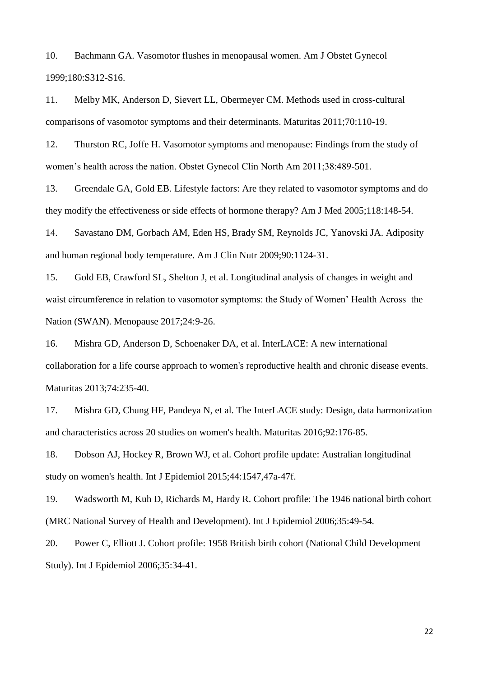10. Bachmann GA. Vasomotor flushes in menopausal women. Am J Obstet Gynecol 1999;180:S312-S16.

11. Melby MK, Anderson D, Sievert LL, Obermeyer CM. Methods used in cross-cultural comparisons of vasomotor symptoms and their determinants. Maturitas 2011;70:110-19.

12. Thurston RC, Joffe H. Vasomotor symptoms and menopause: Findings from the study of women's health across the nation. Obstet Gynecol Clin North Am 2011;38:489-501.

13. Greendale GA, Gold EB. Lifestyle factors: Are they related to vasomotor symptoms and do they modify the effectiveness or side effects of hormone therapy? Am J Med 2005;118:148-54.

14. Savastano DM, Gorbach AM, Eden HS, Brady SM, Reynolds JC, Yanovski JA. Adiposity and human regional body temperature. Am J Clin Nutr 2009;90:1124-31.

15. Gold EB, Crawford SL, Shelton J, et al. Longitudinal analysis of changes in weight and waist circumference in relation to vasomotor symptoms: the Study of Women' Health Across the Nation (SWAN). Menopause 2017;24:9-26.

16. Mishra GD, Anderson D, Schoenaker DA, et al. InterLACE: A new international collaboration for a life course approach to women's reproductive health and chronic disease events. Maturitas 2013;74:235-40.

17. Mishra GD, Chung HF, Pandeya N, et al. The InterLACE study: Design, data harmonization and characteristics across 20 studies on women's health. Maturitas 2016;92:176-85.

18. Dobson AJ, Hockey R, Brown WJ, et al. Cohort profile update: Australian longitudinal study on women's health. Int J Epidemiol 2015;44:1547,47a-47f.

19. Wadsworth M, Kuh D, Richards M, Hardy R. Cohort profile: The 1946 national birth cohort (MRC National Survey of Health and Development). Int J Epidemiol 2006;35:49-54.

20. Power C, Elliott J. Cohort profile: 1958 British birth cohort (National Child Development Study). Int J Epidemiol 2006;35:34-41.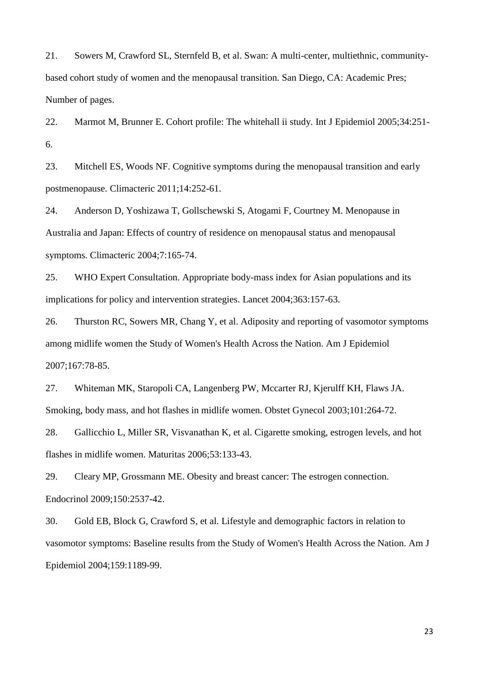21. Sowers M, Crawford SL, Sternfeld B, et al. Swan: A multi-center, multiethnic, communitybased cohort study of women and the menopausal transition. San Diego, CA: Academic Pres; Number of pages.

22. Marmot M, Brunner E. Cohort profile: The whitehall ii study. Int J Epidemiol 2005;34:251- 6.

23. Mitchell ES, Woods NF. Cognitive symptoms during the menopausal transition and early postmenopause. Climacteric 2011;14:252-61.

24. Anderson D, Yoshizawa T, Gollschewski S, Atogami F, Courtney M. Menopause in Australia and Japan: Effects of country of residence on menopausal status and menopausal symptoms. Climacteric 2004;7:165-74.

25. WHO Expert Consultation. Appropriate body-mass index for Asian populations and its implications for policy and intervention strategies. Lancet 2004;363:157-63.

26. Thurston RC, Sowers MR, Chang Y, et al. Adiposity and reporting of vasomotor symptoms among midlife women the Study of Women's Health Across the Nation. Am J Epidemiol 2007;167:78-85.

27. Whiteman MK, Staropoli CA, Langenberg PW, Mccarter RJ, Kjerulff KH, Flaws JA. Smoking, body mass, and hot flashes in midlife women. Obstet Gynecol 2003;101:264-72.

28. Gallicchio L, Miller SR, Visvanathan K, et al. Cigarette smoking, estrogen levels, and hot flashes in midlife women. Maturitas 2006;53:133-43.

29. Cleary MP, Grossmann ME. Obesity and breast cancer: The estrogen connection. Endocrinol 2009;150:2537-42.

30. Gold EB, Block G, Crawford S, et al. Lifestyle and demographic factors in relation to vasomotor symptoms: Baseline results from the Study of Women's Health Across the Nation. Am J Epidemiol 2004;159:1189-99.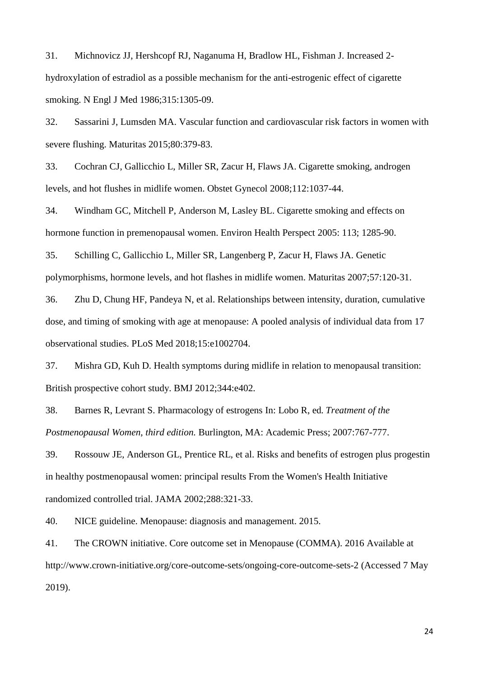31. Michnovicz JJ, Hershcopf RJ, Naganuma H, Bradlow HL, Fishman J. Increased 2 hydroxylation of estradiol as a possible mechanism for the anti-estrogenic effect of cigarette smoking. N Engl J Med 1986;315:1305-09.

32. Sassarini J, Lumsden MA. Vascular function and cardiovascular risk factors in women with severe flushing. Maturitas 2015;80:379-83.

33. Cochran CJ, Gallicchio L, Miller SR, Zacur H, Flaws JA. Cigarette smoking, androgen levels, and hot flushes in midlife women. Obstet Gynecol 2008;112:1037-44.

34. Windham GC, Mitchell P, Anderson M, Lasley BL. Cigarette smoking and effects on hormone function in premenopausal women. Environ Health Perspect 2005: 113; 1285-90.

35. Schilling C, Gallicchio L, Miller SR, Langenberg P, Zacur H, Flaws JA. Genetic polymorphisms, hormone levels, and hot flashes in midlife women. Maturitas 2007;57:120-31.

36. Zhu D, Chung HF, Pandeya N, et al. Relationships between intensity, duration, cumulative dose, and timing of smoking with age at menopause: A pooled analysis of individual data from 17 observational studies. PLoS Med 2018;15:e1002704.

37. Mishra GD, Kuh D. Health symptoms during midlife in relation to menopausal transition: British prospective cohort study. BMJ 2012;344:e402.

38. Barnes R, Levrant S. Pharmacology of estrogens In: Lobo R, ed*. Treatment of the Postmenopausal Women, third edition.* Burlington, MA: Academic Press; 2007:767-777.

39. Rossouw JE, Anderson GL, Prentice RL, et al. Risks and benefits of estrogen plus progestin in healthy postmenopausal women: principal results From the Women's Health Initiative randomized controlled trial. JAMA 2002;288:321-33.

40. NICE guideline. Menopause: diagnosis and management. 2015.

41. The CROWN initiative. Core outcome set in Menopause (COMMA). 2016 Available at http://www.crown-initiative.org/core-outcome-sets/ongoing-core-outcome-sets-2 (Accessed 7 May 2019).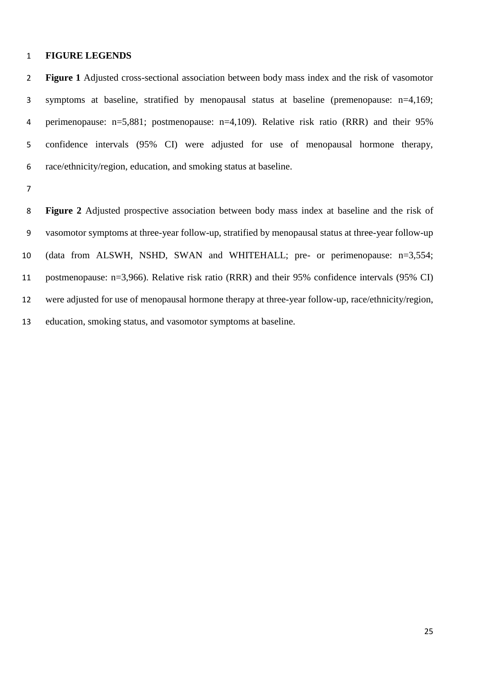#### **FIGURE LEGENDS**

 **Figure 1** Adjusted cross-sectional association between body mass index and the risk of vasomotor symptoms at baseline, stratified by menopausal status at baseline (premenopause: n=4,169; perimenopause: n=5,881; postmenopause: n=4,109). Relative risk ratio (RRR) and their 95% confidence intervals (95% CI) were adjusted for use of menopausal hormone therapy, race/ethnicity/region, education, and smoking status at baseline.

 **Figure 2** Adjusted prospective association between body mass index at baseline and the risk of vasomotor symptoms at three-year follow-up, stratified by menopausal status at three-year follow-up (data from ALSWH, NSHD, SWAN and WHITEHALL; pre- or perimenopause: n=3,554; postmenopause: n=3,966). Relative risk ratio (RRR) and their 95% confidence intervals (95% CI) were adjusted for use of menopausal hormone therapy at three-year follow-up, race/ethnicity/region, education, smoking status, and vasomotor symptoms at baseline.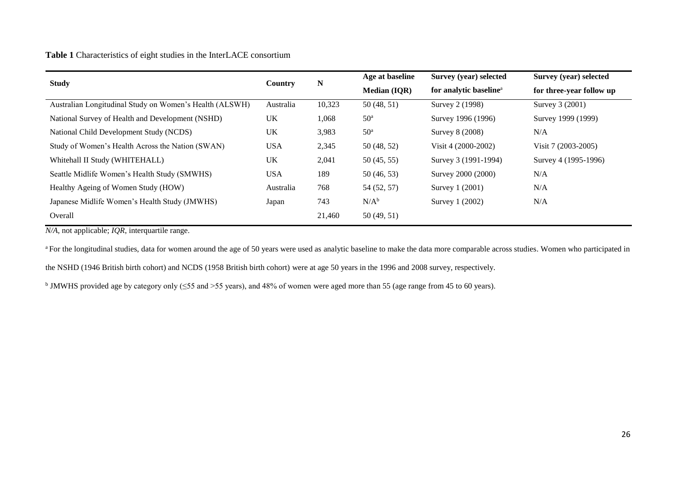### **Table 1** Characteristics of eight studies in the InterLACE consortium

| <b>Study</b>                                            |            |        | Age at baseline     | Survey (year) selected             | Survey (year) selected   |
|---------------------------------------------------------|------------|--------|---------------------|------------------------------------|--------------------------|
|                                                         | Country    | N      | <b>Median (IQR)</b> | for analytic baseline <sup>a</sup> | for three-year follow up |
| Australian Longitudinal Study on Women's Health (ALSWH) | Australia  | 10,323 | 50(48, 51)          | Survey 2 (1998)                    | Survey 3 (2001)          |
| National Survey of Health and Development (NSHD)        | UK         | 1,068  | 50 <sup>a</sup>     | Survey 1996 (1996)                 | Survey 1999 (1999)       |
| National Child Development Study (NCDS)                 | UK         | 3,983  | 50 <sup>a</sup>     | Survey 8 (2008)                    | N/A                      |
| Study of Women's Health Across the Nation (SWAN)        | <b>USA</b> | 2,345  | 50(48, 52)          | Visit 4 (2000-2002)                | Visit 7 (2003-2005)      |
| Whitehall II Study (WHITEHALL)                          | UK         | 2,041  | 50(45, 55)          | Survey 3 (1991-1994)               | Survey 4 (1995-1996)     |
| Seattle Midlife Women's Health Study (SMWHS)            | <b>USA</b> | 189    | 50(46, 53)          | Survey 2000 (2000)                 | N/A                      |
| Healthy Ageing of Women Study (HOW)                     | Australia  | 768    | 54 (52, 57)         | Survey 1 (2001)                    | N/A                      |
| Japanese Midlife Women's Health Study (JMWHS)           | Japan      | 743    | $N/A^b$             | Survey 1 (2002)                    | N/A                      |
| Overall                                                 |            | 21,460 | 50(49, 51)          |                                    |                          |

*N/A*, not applicable; *IQR*, interquartile range.

<sup>a</sup> For the longitudinal studies, data for women around the age of 50 years were used as analytic baseline to make the data more comparable across studies. Women who participated in

the NSHD (1946 British birth cohort) and NCDS (1958 British birth cohort) were at age 50 years in the 1996 and 2008 survey, respectively.

b JMWHS provided age by category only (≤55 and >55 years), and 48% of women were aged more than 55 (age range from 45 to 60 years).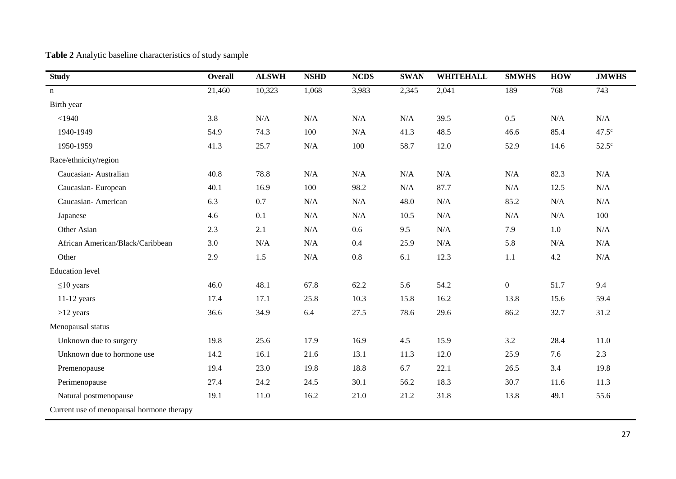| <b>Study</b>                              | <b>Overall</b> | <b>ALSWH</b> | <b>NSHD</b> | <b>NCDS</b> | <b>SWAN</b> | <b>WHITEHALL</b> | <b>SMWHS</b>     | <b>HOW</b> | <b>JMWHS</b>   |
|-------------------------------------------|----------------|--------------|-------------|-------------|-------------|------------------|------------------|------------|----------------|
| $\mathbf n$                               | 21,460         | 10,323       | 1,068       | 3,983       | 2,345       | 2,041            | 189              | 768        | 743            |
| Birth year                                |                |              |             |             |             |                  |                  |            |                |
| $<$ 1940                                  | 3.8            | N/A          | $\rm N/A$   | $\rm N/A$   | N/A         | 39.5             | 0.5              | N/A        | N/A            |
| 1940-1949                                 | 54.9           | 74.3         | 100         | N/A         | 41.3        | 48.5             | 46.6             | 85.4       | $47.5^{\circ}$ |
| 1950-1959                                 | 41.3           | 25.7         | $\rm N/A$   | 100         | 58.7        | 12.0             | 52.9             | 14.6       | $52.5^\circ$   |
| Race/ethnicity/region                     |                |              |             |             |             |                  |                  |            |                |
| Caucasian-Australian                      | 40.8           | 78.8         | N/A         | N/A         | N/A         | N/A              | N/A              | 82.3       | N/A            |
| Caucasian-European                        | 40.1           | 16.9         | 100         | 98.2        | N/A         | 87.7             | N/A              | 12.5       | N/A            |
| Caucasian-American                        | 6.3            | 0.7          | $\rm N/A$   | $\rm N/A$   | 48.0        | N/A              | 85.2             | N/A        | $\rm N/A$      |
| Japanese                                  | 4.6            | 0.1          | N/A         | N/A         | 10.5        | N/A              | N/A              | N/A        | 100            |
| Other Asian                               | 2.3            | 2.1          | N/A         | 0.6         | 9.5         | N/A              | 7.9              | $1.0\,$    | N/A            |
| African American/Black/Caribbean          | 3.0            | N/A          | N/A         | 0.4         | 25.9        | N/A              | 5.8              | N/A        | N/A            |
| Other                                     | 2.9            | 1.5          | $\rm N/A$   | $0.8\,$     | 6.1         | 12.3             | 1.1              | 4.2        | $\rm N/A$      |
| <b>Education</b> level                    |                |              |             |             |             |                  |                  |            |                |
| $\leq$ 10 years                           | 46.0           | 48.1         | 67.8        | 62.2        | 5.6         | 54.2             | $\boldsymbol{0}$ | 51.7       | 9.4            |
| $11-12$ years                             | 17.4           | 17.1         | 25.8        | 10.3        | 15.8        | 16.2             | 13.8             | 15.6       | 59.4           |
| $>12$ years                               | 36.6           | 34.9         | 6.4         | 27.5        | 78.6        | 29.6             | 86.2             | 32.7       | 31.2           |
| Menopausal status                         |                |              |             |             |             |                  |                  |            |                |
| Unknown due to surgery                    | 19.8           | 25.6         | 17.9        | 16.9        | 4.5         | 15.9             | 3.2              | 28.4       | 11.0           |
| Unknown due to hormone use                | 14.2           | 16.1         | 21.6        | 13.1        | 11.3        | 12.0             | 25.9             | 7.6        | 2.3            |
| Premenopause                              | 19.4           | 23.0         | 19.8        | 18.8        | 6.7         | 22.1             | 26.5             | 3.4        | 19.8           |
| Perimenopause                             | 27.4           | 24.2         | 24.5        | 30.1        | 56.2        | 18.3             | 30.7             | 11.6       | 11.3           |
| Natural postmenopause                     | 19.1           | 11.0         | 16.2        | 21.0        | 21.2        | 31.8             | 13.8             | 49.1       | 55.6           |
| Current use of menopausal hormone therapy |                |              |             |             |             |                  |                  |            |                |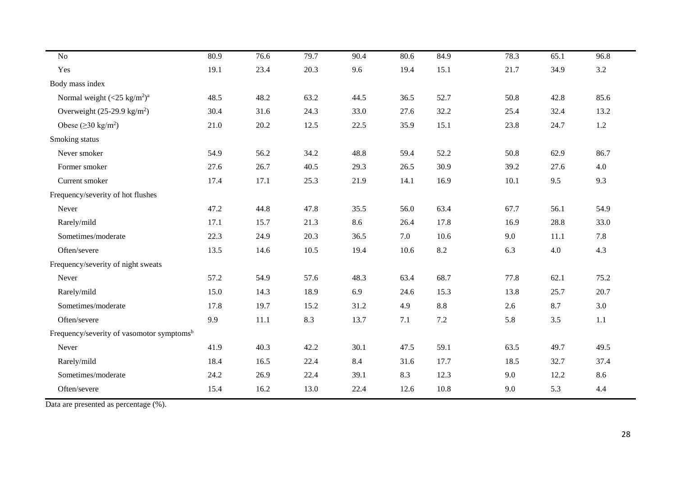| No                                                    | 80.9 | 76.6 | 79.7 | 90.4 | 80.6 | 84.9    | 78.3 | 65.1 | 96.8 |
|-------------------------------------------------------|------|------|------|------|------|---------|------|------|------|
| Yes                                                   | 19.1 | 23.4 | 20.3 | 9.6  | 19.4 | 15.1    | 21.7 | 34.9 | 3.2  |
| Body mass index                                       |      |      |      |      |      |         |      |      |      |
| Normal weight $(<25 \text{ kg/m}^2$ <sup>a</sup>      | 48.5 | 48.2 | 63.2 | 44.5 | 36.5 | 52.7    | 50.8 | 42.8 | 85.6 |
| Overweight $(25-29.9 \text{ kg/m}^2)$                 | 30.4 | 31.6 | 24.3 | 33.0 | 27.6 | 32.2    | 25.4 | 32.4 | 13.2 |
| Obese ( $\geq$ 30 kg/m <sup>2</sup> )                 | 21.0 | 20.2 | 12.5 | 22.5 | 35.9 | 15.1    | 23.8 | 24.7 | 1.2  |
| Smoking status                                        |      |      |      |      |      |         |      |      |      |
| Never smoker                                          | 54.9 | 56.2 | 34.2 | 48.8 | 59.4 | 52.2    | 50.8 | 62.9 | 86.7 |
| Former smoker                                         | 27.6 | 26.7 | 40.5 | 29.3 | 26.5 | 30.9    | 39.2 | 27.6 | 4.0  |
| Current smoker                                        | 17.4 | 17.1 | 25.3 | 21.9 | 14.1 | 16.9    | 10.1 | 9.5  | 9.3  |
| Frequency/severity of hot flushes                     |      |      |      |      |      |         |      |      |      |
| Never                                                 | 47.2 | 44.8 | 47.8 | 35.5 | 56.0 | 63.4    | 67.7 | 56.1 | 54.9 |
| Rarely/mild                                           | 17.1 | 15.7 | 21.3 | 8.6  | 26.4 | 17.8    | 16.9 | 28.8 | 33.0 |
| Sometimes/moderate                                    | 22.3 | 24.9 | 20.3 | 36.5 | 7.0  | 10.6    | 9.0  | 11.1 | 7.8  |
| Often/severe                                          | 13.5 | 14.6 | 10.5 | 19.4 | 10.6 | 8.2     | 6.3  | 4.0  | 4.3  |
| Frequency/severity of night sweats                    |      |      |      |      |      |         |      |      |      |
| Never                                                 | 57.2 | 54.9 | 57.6 | 48.3 | 63.4 | 68.7    | 77.8 | 62.1 | 75.2 |
| Rarely/mild                                           | 15.0 | 14.3 | 18.9 | 6.9  | 24.6 | 15.3    | 13.8 | 25.7 | 20.7 |
| Sometimes/moderate                                    | 17.8 | 19.7 | 15.2 | 31.2 | 4.9  | $8.8\,$ | 2.6  | 8.7  | 3.0  |
| Often/severe                                          | 9.9  | 11.1 | 8.3  | 13.7 | 7.1  | 7.2     | 5.8  | 3.5  | 1.1  |
| Frequency/severity of vasomotor symptoms <sup>b</sup> |      |      |      |      |      |         |      |      |      |
| Never                                                 | 41.9 | 40.3 | 42.2 | 30.1 | 47.5 | 59.1    | 63.5 | 49.7 | 49.5 |
| Rarely/mild                                           | 18.4 | 16.5 | 22.4 | 8.4  | 31.6 | 17.7    | 18.5 | 32.7 | 37.4 |
| Sometimes/moderate                                    | 24.2 | 26.9 | 22.4 | 39.1 | 8.3  | 12.3    | 9.0  | 12.2 | 8.6  |
| Often/severe                                          | 15.4 | 16.2 | 13.0 | 22.4 | 12.6 | 10.8    | 9.0  | 5.3  | 4.4  |
|                                                       |      |      |      |      |      |         |      |      |      |

Data are presented as percentage (%).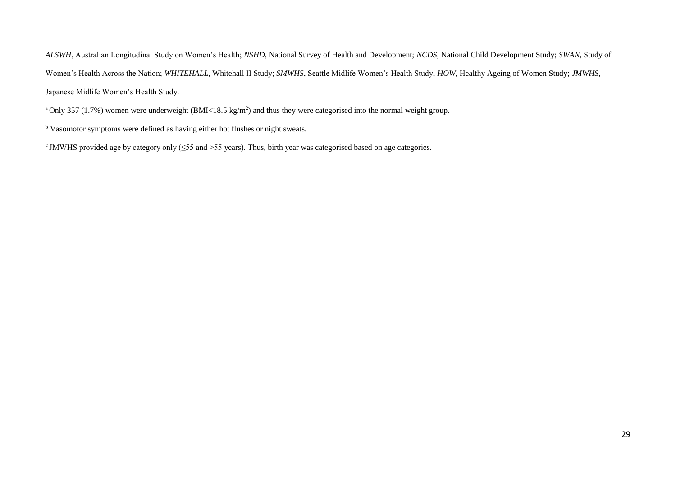*ALSWH*, Australian Longitudinal Study on Women's Health; *NSHD*, National Survey of Health and Development; *NCDS*, National Child Development Study; *SWAN*, Study of Women's Health Across the Nation; *WHITEHALL*, Whitehall II Study; *SMWHS*, Seattle Midlife Women's Health Study; *HOW*, Healthy Ageing of Women Study; *JMWHS*, Japanese Midlife Women's Health Study.

<sup>a</sup>Only 357 (1.7%) women were underweight (BMI<18.5 kg/m<sup>2</sup>) and thus they were categorised into the normal weight group.

**b** Vasomotor symptoms were defined as having either hot flushes or night sweats.

c JMWHS provided age by category only (≤55 and >55 years). Thus, birth year was categorised based on age categories.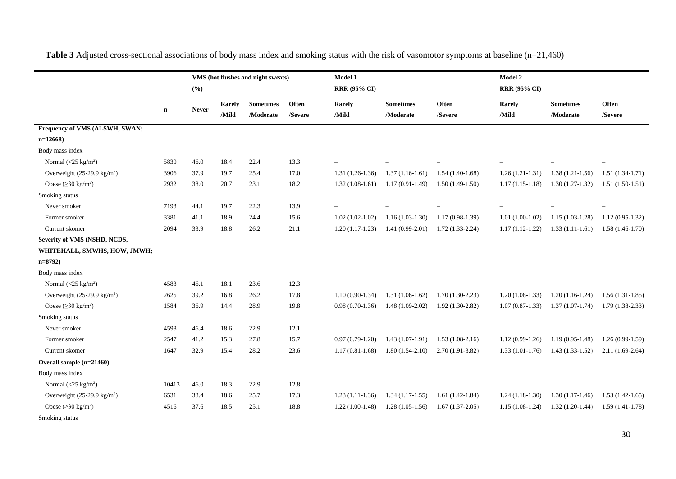|                                       |             |              |        | VMS (hot flushes and night sweats) |         | Model 1             |                   |                     |                     | Model 2           |                   |  |  |
|---------------------------------------|-------------|--------------|--------|------------------------------------|---------|---------------------|-------------------|---------------------|---------------------|-------------------|-------------------|--|--|
|                                       |             | (%)          |        |                                    |         | <b>RRR (95% CI)</b> |                   |                     | <b>RRR (95% CI)</b> |                   |                   |  |  |
|                                       |             |              | Rarely | <b>Sometimes</b>                   | Often   | Rarely              | <b>Sometimes</b>  | Often               | Rarely              | <b>Sometimes</b>  | Often             |  |  |
|                                       | $\mathbf n$ | <b>Never</b> | /Mild  | /Moderate                          | /Severe | /Mild               | /Moderate         | /Severe             | /Mild               | /Moderate         | /Severe           |  |  |
| Frequency of VMS (ALSWH, SWAN;        |             |              |        |                                    |         |                     |                   |                     |                     |                   |                   |  |  |
| $n=12668$                             |             |              |        |                                    |         |                     |                   |                     |                     |                   |                   |  |  |
| Body mass index                       |             |              |        |                                    |         |                     |                   |                     |                     |                   |                   |  |  |
| Normal $(<25 \text{ kg/m}^2)$         | 5830        | 46.0         | 18.4   | 22.4                               | 13.3    |                     |                   |                     |                     |                   |                   |  |  |
| Overweight $(25-29.9 \text{ kg/m}^2)$ | 3906        | 37.9         | 19.7   | 25.4                               | 17.0    | $1.31(1.26-1.36)$   | $1.37(1.16-1.61)$ | $1.54(1.40-1.68)$   | $1.26(1.21-1.31)$   | $1.38(1.21-1.56)$ | $1.51(1.34-1.71)$ |  |  |
| Obese $(\geq 30 \text{ kg/m}^2)$      | 2932        | 38.0         | 20.7   | 23.1                               | 18.2    | $1.32(1.08-1.61)$   | $1.17(0.91-1.49)$ | $1.50(1.49-1.50)$   | $1.17(1.15-1.18)$   | $1.30(1.27-1.32)$ | $1.51(1.50-1.51)$ |  |  |
| Smoking status                        |             |              |        |                                    |         |                     |                   |                     |                     |                   |                   |  |  |
| Never smoker                          | 7193        | 44.1         | 19.7   | 22.3                               | 13.9    |                     |                   |                     |                     |                   |                   |  |  |
| Former smoker                         | 3381        | 41.1         | 18.9   | 24.4                               | 15.6    | $1.02(1.02-1.02)$   | $1.16(1.03-1.30)$ | $1.17(0.98-1.39)$   | $1.01(1.00-1.02)$   | $1.15(1.03-1.28)$ | $1.12(0.95-1.32)$ |  |  |
| Current skomer                        | 2094        | 33.9         | 18.8   | 26.2                               | 21.1    | $1.20(1.17-1.23)$   | $1.41(0.99-2.01)$ | $1.72(1.33-2.24)$   | $1.17(1.12-1.22)$   | $1.33(1.11-1.61)$ | $1.58(1.46-1.70)$ |  |  |
| Severity of VMS (NSHD, NCDS,          |             |              |        |                                    |         |                     |                   |                     |                     |                   |                   |  |  |
| WHITEHALL, SMWHS, HOW, JMWH;          |             |              |        |                                    |         |                     |                   |                     |                     |                   |                   |  |  |
| $n=8792$                              |             |              |        |                                    |         |                     |                   |                     |                     |                   |                   |  |  |
| Body mass index                       |             |              |        |                                    |         |                     |                   |                     |                     |                   |                   |  |  |
| Normal $(<25 \text{ kg/m}^2)$         | 4583        | 46.1         | 18.1   | 23.6                               | 12.3    |                     |                   |                     |                     |                   |                   |  |  |
| Overweight $(25-29.9 \text{ kg/m}^2)$ | 2625        | 39.2         | 16.8   | 26.2                               | 17.8    | $1.10(0.90-1.34)$   | $1.31(1.06-1.62)$ | $1.70(1.30-2.23)$   | $1.20(1.08-1.33)$   | $1.20(1.16-1.24)$ | $1.56(1.31-1.85)$ |  |  |
| Obese ( $\geq$ 30 kg/m <sup>2</sup> ) | 1584        | 36.9         | 14.4   | 28.9                               | 19.8    | $0.98(0.70-1.36)$   | $1.48(1.09-2.02)$ | $1.92(1.30-2.82)$   | $1.07(0.87-1.33)$   | $1.37(1.07-1.74)$ | $1.79(1.38-2.33)$ |  |  |
| Smoking status                        |             |              |        |                                    |         |                     |                   |                     |                     |                   |                   |  |  |
| Never smoker                          | 4598        | 46.4         | 18.6   | 22.9                               | 12.1    |                     |                   |                     |                     |                   |                   |  |  |
| Former smoker                         | 2547        | 41.2         | 15.3   | 27.8                               | 15.7    | $0.97(0.79-1.20)$   | $1.43(1.07-1.91)$ | $1.53(1.08-2.16)$   | $1.12(0.99-1.26)$   | $1.19(0.95-1.48)$ | $1.26(0.99-1.59)$ |  |  |
| Current skomer                        | 1647        | 32.9         | 15.4   | 28.2                               | 23.6    | $1.17(0.81 - 1.68)$ | $1.80(1.54-2.10)$ | $2.70(1.91 - 3.82)$ | $1.33(1.01-1.76)$   | $1.43(1.33-1.52)$ | $2.11(1.69-2.64)$ |  |  |
| Overall sample (n=21460)              |             |              |        |                                    |         |                     |                   |                     |                     |                   |                   |  |  |
| Body mass index                       |             |              |        |                                    |         |                     |                   |                     |                     |                   |                   |  |  |
| Normal $(<25 \text{ kg/m}^2)$         | 10413       | 46.0         | 18.3   | 22.9                               | 12.8    |                     |                   |                     |                     |                   |                   |  |  |
| Overweight $(25-29.9 \text{ kg/m}^2)$ | 6531        | 38.4         | 18.6   | 25.7                               | 17.3    | $1.23(1.11-1.36)$   | $1.34(1.17-1.55)$ | $1.61(1.42-1.84)$   | $1.24(1.18-1.30)$   | $1.30(1.17-1.46)$ | $1.53(1.42-1.65)$ |  |  |
| Obese ( $\geq$ 30 kg/m <sup>2</sup> ) | 4516        | 37.6         | 18.5   | 25.1                               | 18.8    | $1.22(1.00-1.48)$   | $1.28(1.05-1.56)$ | $1.67(1.37-2.05)$   | $1.15(1.08-1.24)$   | $1.32(1.20-1.44)$ | $1.59(1.41-1.78)$ |  |  |
| Smoking status                        |             |              |        |                                    |         |                     |                   |                     |                     |                   |                   |  |  |

**Table 3** Adjusted cross-sectional associations of body mass index and smoking status with the risk of vasomotor symptoms at baseline (n=21,460)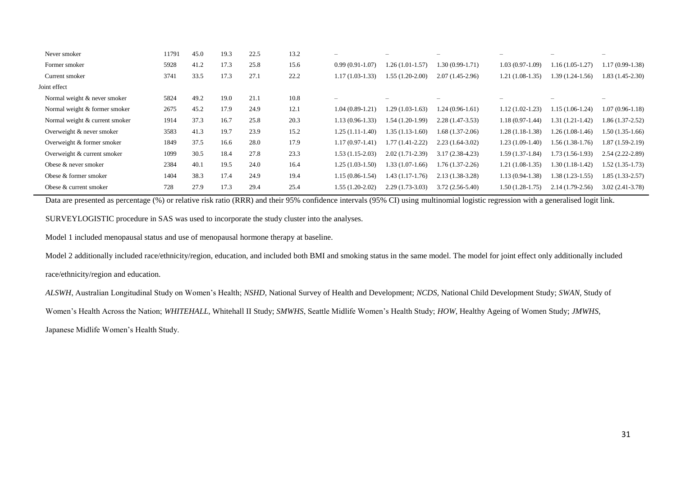|              | Never smoker                   | 11791 | 45.0 | 19.3 | 22.5 | 13.2 | $\overline{\phantom{0}}$ |                   |                   |                   |                   | -                        |
|--------------|--------------------------------|-------|------|------|------|------|--------------------------|-------------------|-------------------|-------------------|-------------------|--------------------------|
|              | Former smoker                  | 5928  | 41.2 | 17.3 | 25.8 | 15.6 | $0.99(0.91-1.07)$        | $1.26(1.01-1.57)$ | 1.30 (0.99-1.71)  | $1.03(0.97-1.09)$ | $1.16(1.05-1.27)$ | $1.17(0.99-1.38)$        |
|              | Current smoker                 | 3741  | 33.5 | 17.3 | 27.1 | 22.2 | $1.17(1.03-1.33)$        | $1.55(1.20-2.00)$ | $2.07(1.45-2.96)$ | $1.21(1.08-1.35)$ | 1.39 (1.24-1.56)  | 1.83 (1.45-2.30)         |
| Joint effect |                                |       |      |      |      |      |                          |                   |                   |                   |                   |                          |
|              | Normal weight & never smoker   | 5824  | 49.2 | 19.0 | 21.1 | 10.8 | $\overline{\phantom{0}}$ |                   |                   |                   |                   | $\overline{\phantom{a}}$ |
|              | Normal weight & former smoker  | 2675  | 45.2 | 17.9 | 24.9 | 12.1 | $1.04(0.89-1.21)$        | $1.29(1.03-1.63)$ | $1.24(0.96-1.61)$ | $1.12(1.02-1.23)$ | $1.15(1.06-1.24)$ | 1.07 (0.96-1.18)         |
|              | Normal weight & current smoker | 1914  | 37.3 | 16.7 | 25.8 | 20.3 | $1.13(0.96-1.33)$        | 1.54 (1.20-1.99)  | $2.28(1.47-3.53)$ | $1.18(0.97-1.44)$ | $1.31(1.21-1.42)$ | 1.86 (1.37-2.52)         |
|              | Overweight & never smoker      | 3583  | 41.3 | 19.7 | 23.9 | 15.2 | $1.25(1.11-1.40)$        | $1.35(1.13-1.60)$ | $1.68(1.37-2.06)$ | $1.28(1.18-1.38)$ | $1.26(1.08-1.46)$ | $1.50(1.35-1.66)$        |
|              | Overweight & former smoker     | 1849  | 37.5 | 16.6 | 28.0 | 17.9 | $1.17(0.97-1.41)$        | $1.77(1.41-2.22)$ | $2.23(1.64-3.02)$ | $1.23(1.09-1.40)$ | $1.56(1.38-1.76)$ | $1.87(1.59-2.19)$        |
|              | Overweight & current smoker    | 1099  | 30.5 | 18.4 | 27.8 | 23.3 | $1.53(1.15-2.03)$        | $2.02(1.71-2.39)$ | $3.17(2.38-4.23)$ | $1.59(1.37-1.84)$ | $1.73(1.56-1.93)$ | $2.54(2.22 - 2.89)$      |
|              | Obese & never smoker           | 2384  | 40.1 | 19.5 | 24.0 | 16.4 | $1.25(1.03-1.50)$        | $1.33(1.07-1.66)$ | $1.76(1.37-2.26)$ | $1.21(1.08-1.35)$ | 1.30 (1.18-1.42)  | 1.52 (1.35-1.73)         |
|              | Obese & former smoker          | 1404  | 38.3 | 17.4 | 24.9 | 19.4 | $1.15(0.86-1.54)$        | $1.43(1.17-1.76)$ | $2.13(1.38-3.28)$ | $1.13(0.94-1.38)$ | $1.38(1.23-1.55)$ | 1.85 (1.33-2.57)         |
|              | Obese & current smoker         | 728   | 27.9 | 17.3 | 29.4 | 25.4 | $1.55(1.20-2.02)$        | $2.29(1.73-3.03)$ | $3.72(2.56-5.40)$ | $1.50(1.28-1.75)$ | $2.14(1.79-2.56)$ | $3.02(2.41-3.78)$        |
|              |                                |       |      |      |      |      |                          |                   |                   |                   |                   |                          |

Data are presented as percentage (%) or relative risk ratio (RRR) and their 95% confidence intervals (95% CI) using multinomial logistic regression with a generalised logit link.

SURVEYLOGISTIC procedure in SAS was used to incorporate the study cluster into the analyses.

Model 1 included menopausal status and use of menopausal hormone therapy at baseline.

Model 2 additionally included race/ethnicity/region, education, and included both BMI and smoking status in the same model. The model for joint effect only additionally included race/ethnicity/region and education.

*ALSWH*, Australian Longitudinal Study on Women's Health; *NSHD*, National Survey of Health and Development; *NCDS*, National Child Development Study; *SWAN*, Study of

Women's Health Across the Nation; *WHITEHALL*, Whitehall II Study; *SMWHS*, Seattle Midlife Women's Health Study; *HOW*, Healthy Ageing of Women Study; *JMWHS*,

Japanese Midlife Women's Health Study.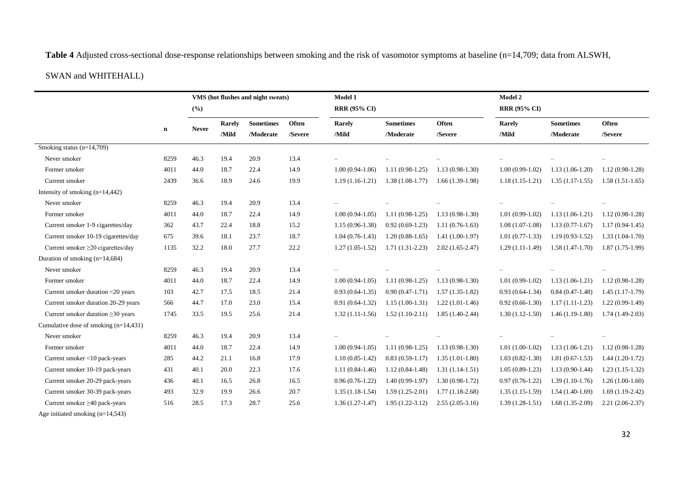**Table 4** Adjusted cross-sectional dose-response relationships between smoking and the risk of vasomotor symptoms at baseline (n=14,709; data from ALSWH,

# SWAN and WHITEHALL)

|                                         |             | VMS (hot flushes and night sweats) |        |                  |         | Model 1             |                   |                   |                     | <b>Model 2</b>    |                   |  |  |
|-----------------------------------------|-------------|------------------------------------|--------|------------------|---------|---------------------|-------------------|-------------------|---------------------|-------------------|-------------------|--|--|
|                                         |             | (%)                                |        |                  |         | <b>RRR (95% CI)</b> |                   |                   | <b>RRR (95% CI)</b> |                   |                   |  |  |
|                                         |             |                                    | Rarely | <b>Sometimes</b> | Often   | Rarely              | <b>Sometimes</b>  | Often             | Rarely              | <b>Sometimes</b>  | Often             |  |  |
|                                         | $\mathbf n$ | <b>Never</b>                       | /Mild  | /Moderate        | /Severe | /Mild               | /Moderate         | /Severe           | /Mild               | /Moderate         | /Severe           |  |  |
| Smoking status $(n=14,709)$             |             |                                    |        |                  |         |                     |                   |                   |                     |                   |                   |  |  |
| Never smoker                            | 8259        | 46.3                               | 19.4   | 20.9             | 13.4    |                     |                   |                   |                     |                   |                   |  |  |
| Former smoker                           | 4011        | 44.0                               | 18.7   | 22.4             | 14.9    | $1.00(0.94-1.06)$   | $1.11(0.98-1.25)$ | $1.13(0.98-1.30)$ | $1.00(0.99-1.02)$   | $1.13(1.06-1.20)$ | $1.12(0.98-1.28)$ |  |  |
| Current smoker                          | 2439        | 36.6                               | 18.9   | 24.6             | 19.9    | $1.19(1.16-1.21)$   | $1.38(1.08-1.77)$ | $1.66(1.39-1.98)$ | $1.18(1.15-1.21)$   | $1.35(1.17-1.55)$ | $1.58(1.51-1.65)$ |  |  |
| Intensity of smoking $(n=14,442)$       |             |                                    |        |                  |         |                     |                   |                   |                     |                   |                   |  |  |
| Never smoker                            | 8259        | 46.3                               | 19.4   | 20.9             | 13.4    |                     |                   |                   |                     |                   |                   |  |  |
| Former smoker                           | 4011        | 44.0                               | 18.7   | 22.4             | 14.9    | $1.00(0.94-1.05)$   | $1.11(0.98-1.25)$ | $1.13(0.98-1.30)$ | $1.01(0.99-1.02)$   | $1.13(1.06-1.21)$ | $1.12(0.98-1.28)$ |  |  |
| Current smoker 1-9 cigarettes/day       | 362         | 43.7                               | 22.4   | 18.8             | 15.2    | $1.15(0.96-1.38)$   | $0.92(0.69-1.23)$ | $1.11(0.76-1.63)$ | $1.08(1.07-1.08)$   | $1.13(0.77-1.67)$ | $1.17(0.94-1.45)$ |  |  |
| Current smoker 10-19 cigarettes/day     | 675         | 39.6                               | 18.1   | 23.7             | 18.7    | $1.04(0.76-1.43)$   | $1.20(0.88-1.65)$ | $1.41(1.00-1.97)$ | $1.01(0.77-1.33)$   | $1.19(0.93-1.52)$ | $1.33(1.04-1.70)$ |  |  |
| Current smoker ≥20 cigarettes/day       | 1135        | 32.2                               | 18.0   | 27.7             | 22.2    | $1.27(1.05-1.52)$   | $1.71(1.31-2.23)$ | $2.02(1.65-2.47)$ | $1.29(1.11-1.49)$   | $1.58(1.47-1.70)$ | $1.87(1.75-1.99)$ |  |  |
| Duration of smoking $(n=14,684)$        |             |                                    |        |                  |         |                     |                   |                   |                     |                   |                   |  |  |
| Never smoker                            | 8259        | 46.3                               | 19.4   | 20.9             | 13.4    |                     |                   |                   |                     |                   |                   |  |  |
| Former smoker                           | 4011        | 44.0                               | 18.7   | 22.4             | 14.9    | $1.00(0.94-1.05)$   | $1.11(0.98-1.25)$ | $1.13(0.98-1.30)$ | $1.01(0.99-1.02)$   | $1.13(1.06-1.21)$ | $1.12(0.98-1.28)$ |  |  |
| Current smoker duration <20 years       | 103         | 42.7                               | 17.5   | 18.5             | 21.4    | $0.93(0.64-1.35)$   | $0.90(0.47-1.71)$ | $1.57(1.35-1.82)$ | $0.93(0.64-1.34)$   | $0.84(0.47-1.48)$ | $1.45(1.17-1.79)$ |  |  |
| Current smoker duration 20-29 years     | 566         | 44.7                               | 17.0   | 23.0             | 15.4    | $0.91(0.64-1.32)$   | $1.15(1.00-1.31)$ | $1.22(1.01-1.46)$ | $0.92(0.66-1.30)$   | $1.17(1.11-1.23)$ | $1.22(0.99-1.49)$ |  |  |
| Current smoker duration $\geq 30$ years | 1745        | 33.5                               | 19.5   | 25.6             | 21.4    | $1.32(1.11-1.56)$   | $1.52(1.10-2.11)$ | $1.85(1.40-2.44)$ | $1.30(1.12-1.50)$   | $1.46(1.19-1.80)$ | $1.74(1.49-2.03)$ |  |  |
| Cumulative dose of smoking $(n=14,431)$ |             |                                    |        |                  |         |                     |                   |                   |                     |                   |                   |  |  |
| Never smoker                            | 8259        | 46.3                               | 19.4   | 20.9             | 13.4    |                     |                   |                   |                     |                   |                   |  |  |
| Former smoker                           | 4011        | 44.0                               | 18.7   | 22.4             | 14.9    | $1.00(0.94-1.05)$   | $1.11(0.98-1.25)$ | $1.13(0.98-1.30)$ | $1.01(1.00-1.02)$   | $1.13(1.06-1.21)$ | $1.12(0.98-1.28)$ |  |  |
| Current smoker <10 pack-years           | 285         | 44.2                               | 21.1   | 16.8             | 17.9    | $1.10(0.85-1.42)$   | $0.83(0.59-1.17)$ | $1.35(1.01-1.80)$ | $1.03(0.82 - 1.30)$ | $1.01(0.67-1.53)$ | $1.44(1.20-1.72)$ |  |  |
| Current smoker 10-19 pack-years         | 431         | 40.1                               | 20.0   | 22.3             | 17.6    | $1.11(0.84-1.46)$   | $1.12(0.84-1.48)$ | $1.31(1.14-1.51)$ | $1.05(0.89-1.23)$   | $1.13(0.90-1.44)$ | $1.23(1.15-1.32)$ |  |  |
| Current smoker 20-29 pack-years         | 436         | 40.1                               | 16.5   | 26.8             | 16.5    | $0.96(0.76-1.22)$   | $1.40(0.99-1.97)$ | $1.30(0.98-1.72)$ | $0.97(0.76-1.22)$   | $1.39(1.10-1.76)$ | $1.26(1.00-1.60)$ |  |  |
| Current smoker 30-39 pack-years         | 493         | 32.9                               | 19.9   | 26.6             | 20.7    | $1.35(1.18-1.54)$   | $1.59(1.25-2.01)$ | $1.77(1.18-2.68)$ | $1.35(1.15-1.59)$   | $1.54(1.40-1.69)$ | $1.69(1.19-2.42)$ |  |  |
| Current smoker $\geq$ 40 pack-years     | 516         | 28.5                               | 17.3   | 28.7             | 25.6    | $1.36(1.27-1.47)$   | $1.95(1.22-3.12)$ | $2.55(2.05-3.16)$ | $1.39(1.28-1.51)$   | $1.68(1.35-2.09)$ | $2.21(2.06-2.37)$ |  |  |
| Age initiated smoking $(n=14,543)$      |             |                                    |        |                  |         |                     |                   |                   |                     |                   |                   |  |  |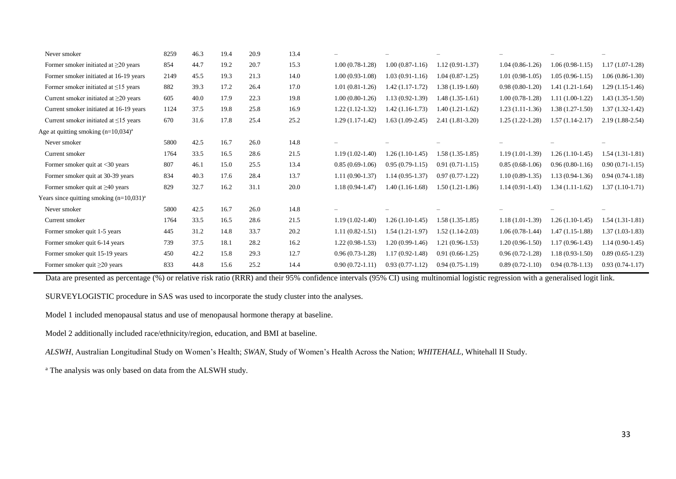| Never smoker                                     | 8259 | 46.3 | 19.4 | 20.9 | 13.4 |                     |                     |                   |                   |                   |                   |
|--------------------------------------------------|------|------|------|------|------|---------------------|---------------------|-------------------|-------------------|-------------------|-------------------|
| Former smoker initiated at $\geq$ 20 years       | 854  | 44.7 | 19.2 | 20.7 | 15.3 | $1.00(0.78-1.28)$   | $1.00(0.87-1.16)$   | $1.12(0.91-1.37)$ | $1.04(0.86-1.26)$ | $1.06(0.98-1.15)$ | $1.17(1.07-1.28)$ |
| Former smoker initiated at 16-19 years           | 2149 | 45.5 | 19.3 | 21.3 | 14.0 | $1.00(0.93-1.08)$   | $1.03(0.91-1.16)$   | $1.04(0.87-1.25)$ | $1.01(0.98-1.05)$ | $1.05(0.96-1.15)$ | $1.06(0.86-1.30)$ |
| Former smoker initiated at $\leq$ 15 years       | 882  | 39.3 | 17.2 | 26.4 | 17.0 | $1.01(0.81-1.26)$   | $1.42(1.17-1.72)$   | $1.38(1.19-1.60)$ | $0.98(0.80-1.20)$ | $1.41(1.21-1.64)$ | $1.29(1.15-1.46)$ |
| Current smoker initiated at $\geq$ 20 years      | 605  | 40.0 | 17.9 | 22.3 | 19.8 | $1.00(0.80-1.26)$   | $1.13(0.92 - 1.39)$ | $1.48(1.35-1.61)$ | $1.00(0.78-1.28)$ | $1.11(1.00-1.22)$ | $1.43(1.35-1.50)$ |
| Current smoker initiated at 16-19 years          | 1124 | 37.5 | 19.8 | 25.8 | 16.9 | $1.22(1.12-1.32)$   | $1.42(1.16-1.73)$   | $1.40(1.21-1.62)$ | $1.23(1.11-1.36)$ | $1.38(1.27-1.50)$ | $1.37(1.32-1.42)$ |
| Current smoker initiated at $\leq$ 15 years      | 670  | 31.6 | 17.8 | 25.4 | 25.2 | $1.29(1.17-1.42)$   | $1.63(1.09-2.45)$   | $2.41(1.81-3.20)$ | $1.25(1.22-1.28)$ | $1.57(1.14-2.17)$ | $2.19(1.88-2.54)$ |
| Age at quitting smoking $(n=10,034)^{a}$         |      |      |      |      |      |                     |                     |                   |                   |                   |                   |
| Never smoker                                     | 5800 | 42.5 | 16.7 | 26.0 | 14.8 |                     |                     |                   |                   |                   |                   |
| Current smoker                                   | 1764 | 33.5 | 16.5 | 28.6 | 21.5 | $1.19(1.02-1.40)$   | $1.26(1.10-1.45)$   | $1.58(1.35-1.85)$ | $1.19(1.01-1.39)$ | $1.26(1.10-1.45)$ | $1.54(1.31-1.81)$ |
| Former smoker quit at $\langle 30 \rangle$ years | 807  | 46.1 | 15.0 | 25.5 | 13.4 | $0.85(0.69-1.06)$   | $0.95(0.79-1.15)$   | $0.91(0.71-1.15)$ | $0.85(0.68-1.06)$ | $0.96(0.80-1.16)$ | $0.90(0.71-1.15)$ |
| Former smoker quit at 30-39 years                | 834  | 40.3 | 17.6 | 28.4 | 13.7 | $1.11(0.90-1.37)$   | $1.14(0.95-1.37)$   | $0.97(0.77-1.22)$ | $1.10(0.89-1.35)$ | $1.13(0.94-1.36)$ | $0.94(0.74-1.18)$ |
| Former smoker quit at $\geq 40$ years            | 829  | 32.7 | 16.2 | 31.1 | 20.0 | $1.18(0.94 - 1.47)$ | $1.40(1.16-1.68)$   | $1.50(1.21-1.86)$ | $1.14(0.91-1.43)$ | $1.34(1.11-1.62)$ | $1.37(1.10-1.71)$ |
| Years since quitting smoking $(n=10,031)^{a}$    |      |      |      |      |      |                     |                     |                   |                   |                   |                   |
| Never smoker                                     | 5800 | 42.5 | 16.7 | 26.0 | 14.8 |                     |                     |                   |                   |                   |                   |
| Current smoker                                   | 1764 | 33.5 | 16.5 | 28.6 | 21.5 | $1.19(1.02-1.40)$   | $1.26(1.10-1.45)$   | $1.58(1.35-1.85)$ | $1.18(1.01-1.39)$ | $1.26(1.10-1.45)$ | $1.54(1.31-1.81)$ |
| Former smoker quit 1-5 years                     | 445  | 31.2 | 14.8 | 33.7 | 20.2 | $1.11(0.82 - 1.51)$ | $1.54(1.21-1.97)$   | $1.52(1.14-2.03)$ | $1.06(0.78-1.44)$ | $1.47(1.15-1.88)$ | $1.37(1.03-1.83)$ |
| Former smoker quit 6-14 years                    | 739  | 37.5 | 18.1 | 28.2 | 16.2 | $1.22(0.98-1.53)$   | $1.20(0.99-1.46)$   | $1.21(0.96-1.53)$ | $1.20(0.96-1.50)$ | $1.17(0.96-1.43)$ | $1.14(0.90-1.45)$ |
| Former smoker quit 15-19 years                   | 450  | 42.2 | 15.8 | 29.3 | 12.7 | $0.96(0.73-1.28)$   | $1.17(0.92 - 1.48)$ | $0.91(0.66-1.25)$ | $0.96(0.72-1.28)$ | $1.18(0.93-1.50)$ | $0.89(0.65-1.23)$ |
| Former smoker quit $\geq 20$ years               | 833  | 44.8 | 15.6 | 25.2 | 14.4 | $0.90(0.72 - 1.11)$ | $0.93(0.77-1.12)$   | $0.94(0.75-1.19)$ | $0.89(0.72-1.10)$ | $0.94(0.78-1.13)$ | $0.93(0.74-1.17)$ |

Data are presented as percentage (%) or relative risk ratio (RRR) and their 95% confidence intervals (95% CI) using multinomial logistic regression with a generalised logit link.

SURVEYLOGISTIC procedure in SAS was used to incorporate the study cluster into the analyses.

Model 1 included menopausal status and use of menopausal hormone therapy at baseline.

Model 2 additionally included race/ethnicity/region, education, and BMI at baseline.

*ALSWH*, Australian Longitudinal Study on Women's Health; *SWAN*, Study of Women's Health Across the Nation; *WHITEHALL*, Whitehall II Study.

<sup>a</sup> The analysis was only based on data from the ALSWH study.